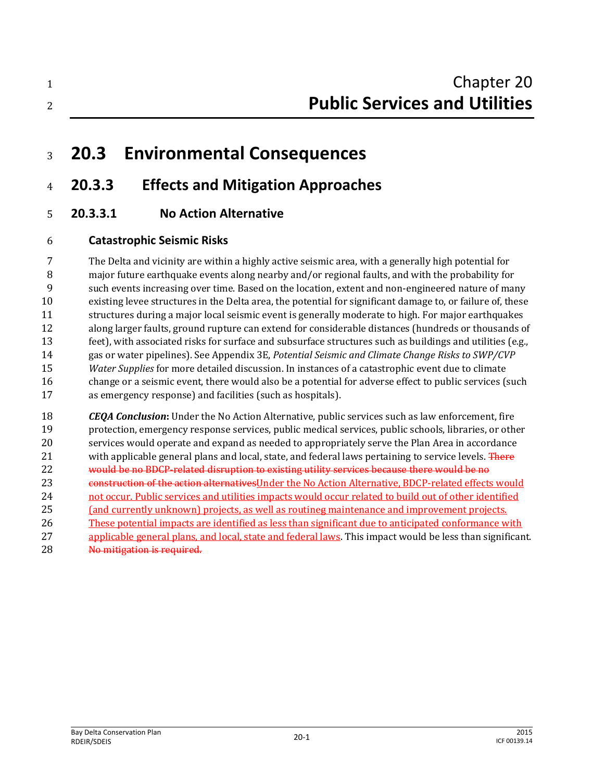| Chapter 20                           |
|--------------------------------------|
| <b>Public Services and Utilities</b> |

# **20.3 Environmental Consequences**

# **20.3.3 Effects and Mitigation Approaches**

**20.3.3.1 No Action Alternative**

# **Catastrophic Seismic Risks**

 The Delta and vicinity are within a highly active seismic area, with a generally high potential for major future earthquake events along nearby and/or regional faults, and with the probability for such events increasing over time. Based on the location, extent and non-engineered nature of many existing levee structures in the Delta area, the potential for significant damage to, or failure of, these structures during a major local seismic event is generally moderate to high. For major earthquakes along larger faults, ground rupture can extend for considerable distances (hundreds or thousands of feet), with associated risks for surface and subsurface structures such as buildings and utilities (e.g., gas or water pipelines). See Appendix 3E, *Potential Seismic and Climate Change Risks to SWP/CVP Water Supplies* for more detailed discussion. In instances of a catastrophic event due to climate change or a seismic event, there would also be a potential for adverse effect to public services (such as emergency response) and facilities (such as hospitals).

 *CEQA Conclusion***:** Under the No Action Alternative, public services such as law enforcement, fire protection, emergency response services, public medical services, public schools, libraries, or other services would operate and expand as needed to appropriately serve the Plan Area in accordance 21 with applicable general plans and local, state, and federal laws pertaining to service levels. There would be no BDCP-related disruption to existing utility services because there would be no 23 construction of the action alternatives Under the No Action Alternative, BDCP-related effects would not occur. Public services and utilities impacts would occur related to build out of other identified (and currently unknown) projects, as well as routineg maintenance and improvement projects. These potential impacts are identified as less than significant due to anticipated conformance with applicable general plans, and local, state and federal laws. This impact would be less than significant. 28 No mitigation is required.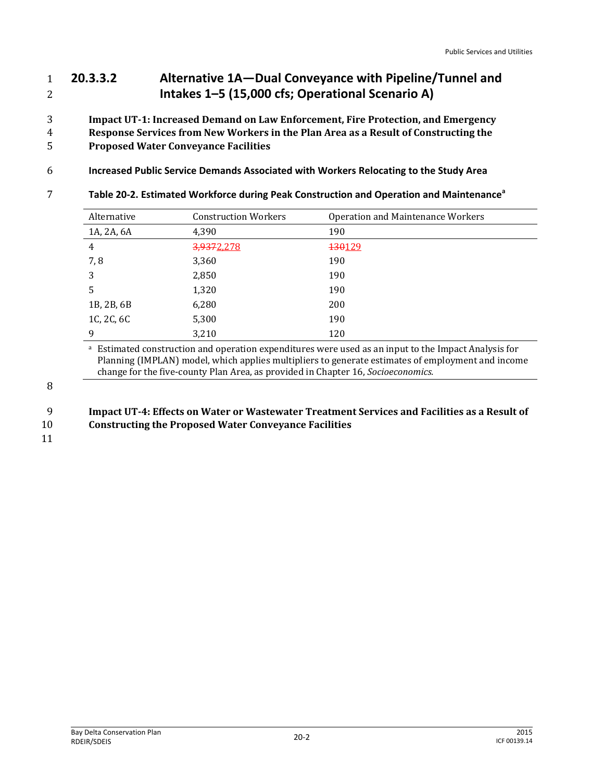# 1 **20.3.3.2 Alternative 1A—Dual Conveyance with Pipeline/Tunnel and**  2 **Intakes 1–5 (15,000 cfs; Operational Scenario A)**

- 3 **Impact UT-1: Increased Demand on Law Enforcement, Fire Protection, and Emergency**
- 4 **Response Services from New Workers in the Plan Area as a Result of Constructing the**  5 **Proposed Water Conveyance Facilities**
- 6 **Increased Public Service Demands Associated with Workers Relocating to the Study Area**
- **Table 20-2. Estimated Workforce during Peak Construction and Operation and Maintenance<sup>a</sup>** 7

| Alternative    | <b>Construction Workers</b> | Operation and Maintenance Workers |
|----------------|-----------------------------|-----------------------------------|
| 1A, 2A, 6A     | 4,390                       | 190                               |
| $\overline{4}$ | 3,9372,278                  | 130129                            |
| 7,8            | 3,360                       | 190                               |
| 3              | 2,850                       | 190                               |
| 5              | 1,320                       | 190                               |
| 1B, 2B, 6B     | 6,280                       | 200                               |
| 1C, 2C, 6C     | 5,300                       | 190                               |
| 9              | 3,210                       | 120                               |

<sup>a</sup> Estimated construction and operation expenditures were used as an input to the Impact Analysis for Planning (IMPLAN) model, which applies multipliers to generate estimates of employment and income change for the five-county Plan Area, as provided in Chapter 16, *Socioeconomics.*

# 9 **Impact UT-4: Effects on Water or Wastewater Treatment Services and Facilities as a Result of**

10 **Constructing the Proposed Water Conveyance Facilities**

11

<sup>8</sup>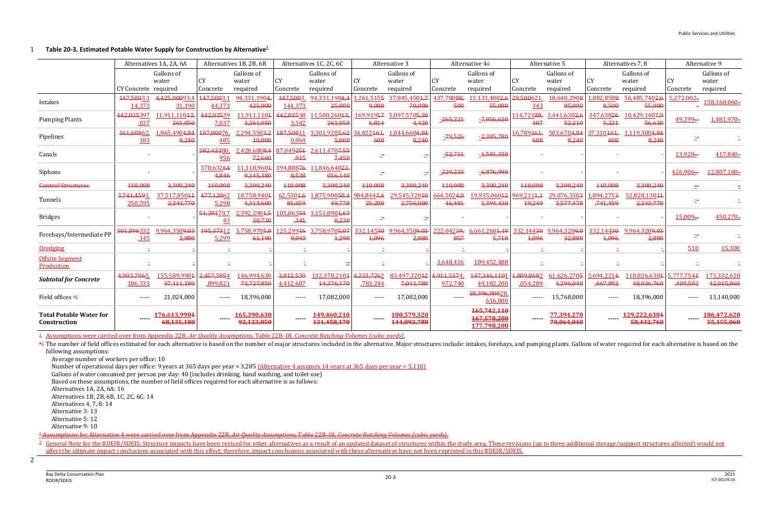#### **Table 20-3. Estimated Potable Water Supply for Construction by Alternative<sup>1</sup>** 1

|                                                | Alternatives 1A, 2A, 6A  |                                    | Alternatives 1B, 2B, 6B |                                   | Alternatives 1C, 2C, 6C        |                                     | Alternative 3                    |                                       | Alternative $4\frac{2}{3}$ |                                           | Alternative 5                    |                                      | Alternatives 7, 8                 |                                       | Alternative 9          |                                 |
|------------------------------------------------|--------------------------|------------------------------------|-------------------------|-----------------------------------|--------------------------------|-------------------------------------|----------------------------------|---------------------------------------|----------------------------|-------------------------------------------|----------------------------------|--------------------------------------|-----------------------------------|---------------------------------------|------------------------|---------------------------------|
|                                                | CY Concrete required     | Gallons of<br>water                | <b>CY</b><br>Concrete   | Gallons of<br>water<br>required   | <b>CY</b><br>Concrete          | Gallons of<br>water<br>required     | <b>CY</b><br>Concrete            | Gallons of<br>water<br>required       | <b>CY</b><br>Concrete      | Gallons of<br>water<br>required           | CY<br>Concrete                   | Gallons of<br>water<br>required      | CY<br>Concrete                    | Gallons of<br>water<br>required       | <b>CY</b><br>Concrete  | Gallons of<br>water<br>required |
| Intakes                                        | 147,5003,1<br>14,373     | 4,425,00093<br>31,190              | 147.5003.1<br>44,373    | 94.331.1904.<br>425,000           | 147,5003.<br>144,373           | 94,331,1904,4<br>25,000             | .261.5155<br>9,000               | 37,845,4504,<br>70,000                | 437.78088.<br>500          | 13,133,4002,6<br>55,000                   | 29,500621<br>343                 | 18.640.2908<br>85,000                | .882.8588<br>8,500                | 56,485,7402,6<br>55,000               | $5,272,002 -$          | 158,160,060-                    |
| <b>Pumping Plants</b>                          | 442,035397<br>.037       | 11,911,11043<br>261,050            | 442,03539<br>7,037      | 1,911,1104<br>3,261,050           | 442,03538<br>3,342             | 11,500,26043<br>261,050             | 169.91947<br>6,814               | 5,097,5705,30<br>4,420                | $-265,221$                 | $-7,956,630$                              | 14,72188,<br>407                 | 3,441,6302,6<br>52,210               | 347,63826<br>5,221                | 10,429,1407,9<br>56,630               | 49,399-                | 1,481,970-                      |
| Pipelines                                      | 161,60862<br>183         | L,865,4904,84<br>8,240             | 107,00076.<br>485       | 294,5503,2<br>10,000              | 187,50011<br>0,064             | 3,301,9205,62<br>5,000              | 34,822464,<br>608                | L044,6604,84<br>8,240                 | -79,526                    | $-2,385,780$                              | 16,789 <del>161,</del><br>608    | 503,6704,84<br>8,240                 | 37,310464,<br>608                 | 119,3004,84<br>8,240                  |                        |                                 |
| Canals                                         |                          |                                    | 282,42280.<br>956       | .428,680 <del>8,4</del><br>72,660 | 87,049251<br>,915              | 2,611,470 <del>7,55</del><br>7,450  | zt.                              |                                       | <u>-52,711</u>             | $-1,581,330$                              |                                  |                                      |                                   |                                       | 13,928-                | 417,840-                        |
| Siphons                                        |                          |                                    | 370,63264<br>4,846      | .118.9604<br>9,345,380            | 394.888 <del>76</del><br>8,538 | 11,846,64023,<br>056,140            | ÷                                |                                       | $-229,233$                 | $-6,876,990$                              |                                  |                                      |                                   |                                       | $426,906-$             | 12,807,180-                     |
| <b>Control Structures</b>                      | 110,008                  | 3,300,240                          | 110,008                 | 3,300,240                         | 110,008                        | 3,300,240                           | 440,008                          | 3,300,240                             | 110,008                    | 3,300,240                                 | 110,008                          | 3,300,240                            | 110,008                           | 3,300,240                             | ÷.                     |                                 |
| Tunnels                                        | 3,741,4591<br>250,595    | 37,517,85044<br>2,243,770          | 477,12062<br>5,298      | 8,758,9404<br>4,313,600           | 62,5304,6<br>81,659            | 875,900 <del>50,</del> 4,<br>49,770 | 984,844 <del>3,4</del><br>25,200 | 29,545,320 <del>10</del><br>2,756,000 | 664,5024,0<br>46,481       | 19,935,060 <del>12</del><br>1,394,430     | 969,211 <del>1,1</del><br>19,249 | 29,076,330 <del>3</del><br>3,577,470 | ,094,271 <del>3</del><br>,741,459 | 32,828,130 <del>11</del><br>2,243,770 | z÷                     |                                 |
| <b>Bridges</b>                                 |                          |                                    | 51,29179,7<br><u>43</u> | 392,2904,5<br>38,730              | 105,063 <del>54</del><br>,341  | 3.151,8904,63<br>0,230              | $\mathbb{R}^2$                   |                                       |                            |                                           |                                  |                                      |                                   |                                       | 15,009-                | $450,270-$                      |
| Forebays/Intermediate PP                       | 301,096332<br><b>145</b> | 9,964,350 <del>9,03</del><br>2,880 | 195,37312<br>5,299      | .758,970 <del>5.8</del><br>61,190 | 125,299 <del>16</del><br>9,043 | 3,758,9705,07<br>4,290              | 332,145 <del>30</del><br>4,096   | 9,964,3509,03<br>2,880                | 222,04239,<br>857          | 6,661,2604,19<br>5,710                    | 332,14430<br>4,096               | 9,964,3209,0<br>32,880               | 332,14430<br>4,096                | 9,964,3209,03<br>2,880                | ÷.                     |                                 |
| <b>Dredging</b>                                |                          |                                    |                         |                                   |                                |                                     |                                  |                                       |                            |                                           |                                  |                                      |                                   |                                       | 510                    | 15,300                          |
| <b>Offsite Segment</b><br>Production           |                          |                                    |                         |                                   |                                |                                     |                                  |                                       | 3,648,416                  | 109,452,480                               |                                  |                                      |                                   |                                       |                        |                                 |
| <b>Subtotal for Concrete</b>                   | 4,903,7065<br>186,333    | 155,589,9904<br>47,111,18          | 2,457,5954<br>,899,821  | 46,994,630<br>73,727,850          | 3,812,539<br>4,412,607         | 32,378,2104<br>14,376,170           | 4,233,7262<br>.783.244           | 83,497,320 <del>12</del><br>7,011,780 | 4,911,5374,<br>972,740     | 147,346,1101<br>49,182,200                | 1,809,8682<br>.054,209           | 61,626,2705<br>4,296,040             | 3,694,2214<br>,667,892            | 10,826,6304<br>40,036,760             | 5,777,7544<br>,400,502 | 173,332,620<br>42,015,060       |
| Field offices $\frac{42}{3}$                   | -----                    | 21,024,000                         | $- - - - -$             | 18,396,000                        | $- - - - -$                    | 17,082,000                          | $---$                            | 17,082,000                            |                            | 18,396,00028<br>616,000                   | -----                            | 15,768,000                           | $- - - - -$                       | 18,396,000                            | $- - - - -$            | 13,140,000                      |
| <b>Total Potable Water for</b><br>Construction |                          | 176,613,9904<br>68,135,180         | ----                    | 165,390,630<br>92,123,850         |                                | 149,460,210<br>131,458,170          | $\cdots$                         | 100,579,320<br>144,093,780            |                            | 165,742,110<br>167,578,200<br>177,798,200 | -----                            | 77,394,270<br>70,064,040             |                                   | <u>129,222,6304</u><br>58,432,760     |                        | 186,472,620<br>55,155,060       |

<sup>42</sup> The number of field offices estimated for each alternative is based on the number of major structures included in the alternative. Major structures include: intakes, forebays, and pumping plants. Gallons of water requ following assumptions:

<sup>3</sup> General Note for the RDEIR/SDEIS: Structure impacts have been revised for other alternatives as a result of an updated dataset of structures within the study area. These revisions (up to three additional storage/suppor affect the ultimate impact conclusions associated with this effect; therefore, impact conclusions associated with these alternatives have not been reprinted in this RDEIR/SDEIS.

<sup>1</sup>Assumptions were carried over from Appendix 22B, *Air Quality Assumptions*, Table 22B-18, *Concrete Batching Volumes (cubic yards)*.

Average number of workers per office: 10

Number of operational days per office: 9 years at 365 days per year = 3,285 (Alternative 4 assumes 14 years at 365 days per year = 5,110)

Gallons of water consumed per person per day: 40 (includes drinking, hand washing, and toilet use)

Based on these assumptions, the number of field offices required for each alternative is as follows:

Alternatives 1A, 2A, 6A: 16

Alternatives 1B, 2B, 6B, 1C, 2C, 6C: 14

Alternatives 4, 7, 8: 14

Alternative 3: 13

Alternative 5: 12

Alternative 9: 10

<sup>2</sup> Assumptions for Alternative 4 were carried over from Appendix 22B, *Air Quality Assumptions*, Table 22B-18, *Concrete Batching Volumes (cubic yards)*.

2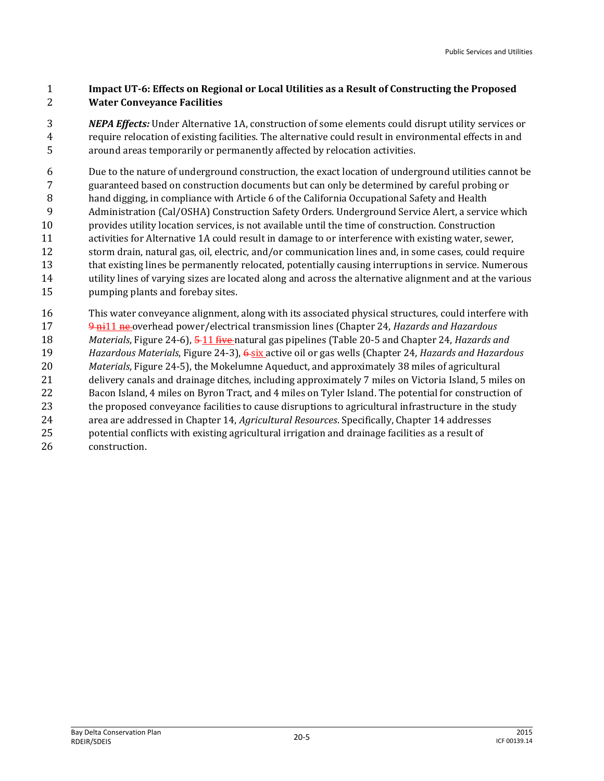#### **Impact UT-6: Effects on Regional or Local Utilities as a Result of Constructing the Proposed Water Conveyance Facilities**

 *NEPA Effects:* Under Alternative 1A, construction of some elements could disrupt utility services or require relocation of existing facilities. The alternative could result in environmental effects in and around areas temporarily or permanently affected by relocation activities.

 Due to the nature of underground construction, the exact location of underground utilities cannot be guaranteed based on construction documents but can only be determined by careful probing or hand digging, in compliance with Article 6 of the California Occupational Safety and Health 9 Administration (Cal/OSHA) Construction Safety Orders. Underground Service Alert, a service which provides utility location services, is not available until the time of construction. Construction activities for Alternative 1A could result in damage to or interference with existing water, sewer, storm drain, natural gas, oil, electric, and/or communication lines and, in some cases, could require that existing lines be permanently relocated, potentially causing interruptions in service. Numerous utility lines of varying sizes are located along and across the alternative alignment and at the various pumping plants and forebay sites.

 This water conveyance alignment, along with its associated physical structures, could interfere with 9 ni11 ne overhead power/electrical transmission lines (Chapter 24, *Hazards and Hazardous* 

 *Materials*, Figure 24-6), 5 11 five natural gas pipelines (Table 20-5 and Chapter 24, *Hazards and Hazardous Materials*, Figure 24-3), 6 six active oil or gas wells (Chapter 24, *Hazards and Hazardous* 

- *Materials*, Figure 24-5), the Mokelumne Aqueduct, and approximately 38 miles of agricultural
- delivery canals and drainage ditches, including approximately 7 miles on Victoria Island, 5 miles on
- Bacon Island, 4 miles on Byron Tract, and 4 miles on Tyler Island. The potential for construction of
- the proposed conveyance facilities to cause disruptions to agricultural infrastructure in the study
- area are addressed in Chapter 14, *Agricultural Resources*. Specifically, Chapter 14 addresses
- potential conflicts with existing agricultural irrigation and drainage facilities as a result of
- construction.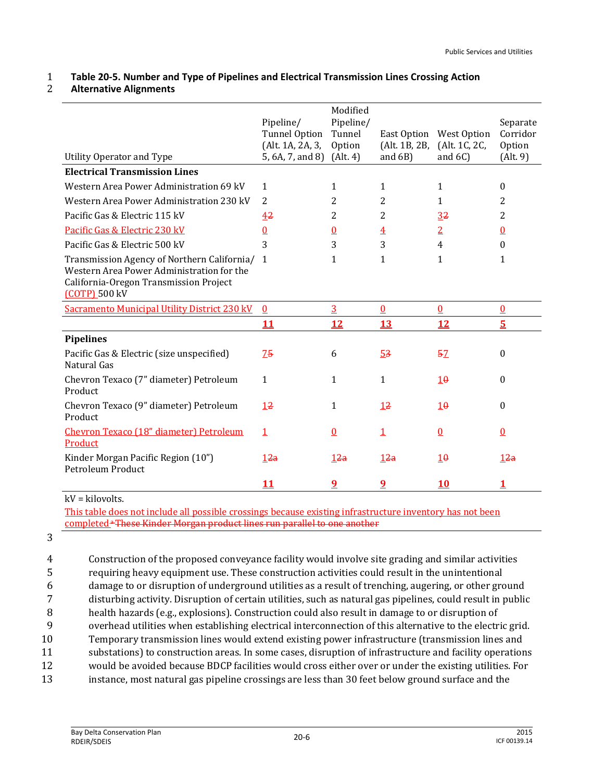# 1 **Table 20-5. Number and Type of Pipelines and Electrical Transmission Lines Crossing Action**

#### 2 **Alternative Alignments**

|                                                                                                                                                     | Pipeline/<br><b>Tunnel Option</b><br>(Alt. 1A, 2A, 3, | Modified<br>Pipeline/<br>Tunnel<br>Option | East Option<br>(Alt. 1B, 2B, | West Option<br>(Alt. 1C, 2C, | Separate<br>Corridor<br>Option |
|-----------------------------------------------------------------------------------------------------------------------------------------------------|-------------------------------------------------------|-------------------------------------------|------------------------------|------------------------------|--------------------------------|
| Utility Operator and Type<br><b>Electrical Transmission Lines</b>                                                                                   | 5, 6A, 7, and 8)                                      | (Alt. 4)                                  | and $6B$ )                   | and $6C$ )                   | (Alt. 9)                       |
|                                                                                                                                                     |                                                       |                                           |                              |                              |                                |
| Western Area Power Administration 69 kV                                                                                                             | 1                                                     | 1                                         | 1                            | 1                            | $\mathbf{0}$                   |
| Western Area Power Administration 230 kV                                                                                                            | 2                                                     | 2                                         | 2                            | 1                            | 2                              |
| Pacific Gas & Electric 115 kV                                                                                                                       | 42                                                    | 2                                         | 2                            | 3 <sup>2</sup>               | 2                              |
| Pacific Gas & Electric 230 kV                                                                                                                       | $\overline{0}$                                        | $\underline{0}$                           | $\overline{4}$               | $\overline{2}$               | $\underline{0}$                |
| Pacific Gas & Electric 500 kV                                                                                                                       | 3                                                     | 3                                         | 3                            | 4                            | 0                              |
| Transmission Agency of Northern California/<br>Western Area Power Administration for the<br>California-Oregon Transmission Project<br>(COTP) 500 kV | 1                                                     | 1                                         | 1                            | 1                            | 1                              |
| <b>Sacramento Municipal Utility District 230 kV</b>                                                                                                 | $\Omega$                                              | $\overline{3}$                            | $\overline{0}$               | $\underline{0}$              | <u>0</u>                       |
|                                                                                                                                                     | <u> 11</u>                                            | 12                                        | <u>13</u>                    | 12                           | $\overline{\mathbf{5}}$        |
| <b>Pipelines</b>                                                                                                                                    |                                                       |                                           |                              |                              |                                |
| Pacific Gas & Electric (size unspecified)<br>Natural Gas                                                                                            | 75                                                    | 6                                         | 5 <sup>3</sup>               | 52                           | $\boldsymbol{0}$               |
| Chevron Texaco (7" diameter) Petroleum<br>Product                                                                                                   | 1                                                     | 1                                         | 1                            | 10                           | $\theta$                       |
| Chevron Texaco (9" diameter) Petroleum<br>Product                                                                                                   | 12                                                    | $\mathbf{1}$                              | 12                           | 10                           | $\theta$                       |
| Chevron Texaco (18" diameter) Petroleum<br>Product                                                                                                  | $\mathbf{1}$                                          | $\overline{0}$                            | $\overline{1}$               | $\bf{0}$                     | $\overline{0}$                 |
| Kinder Morgan Pacific Region (10")<br>Petroleum Product                                                                                             | 12a                                                   | 12a                                       | 12a                          | 10                           | 12a                            |
|                                                                                                                                                     | 11                                                    | <u>9</u>                                  | <u>9</u>                     | 10                           |                                |

kV = kilovolts.

This table does not include all possible crossings because existing infrastructure inventory has not been completed.<sup>a</sup> These Kinder Morgan product lines run parallel to one another

3

 Construction of the proposed conveyance facility would involve site grading and similar activities requiring heavy equipment use. These construction activities could result in the unintentional damage to or disruption of underground utilities as a result of trenching, augering, or other ground disturbing activity. Disruption of certain utilities, such as natural gas pipelines, could result in public health hazards (e.g., explosions). Construction could also result in damage to or disruption of overhead utilities when establishing electrical interconnection of this alternative to the electric grid. Temporary transmission lines would extend existing power infrastructure (transmission lines and substations) to construction areas. In some cases, disruption of infrastructure and facility operations would be avoided because BDCP facilities would cross either over or under the existing utilities. For instance, most natural gas pipeline crossings are less than 30 feet below ground surface and the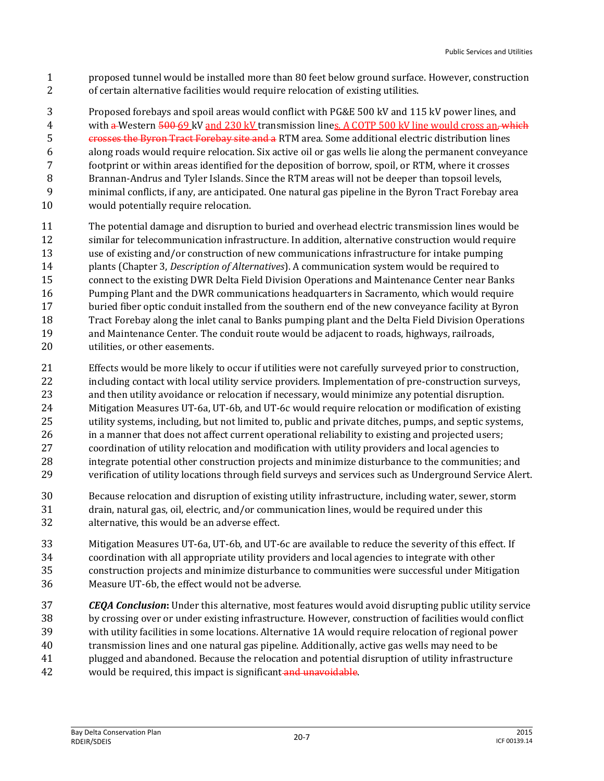- proposed tunnel would be installed more than 80 feet below ground surface. However, construction of certain alternative facilities would require relocation of existing utilities.
- Proposed forebays and spoil areas would conflict with PG&E 500 kV and 115 kV power lines, and

4 with a Western 500 69 kV and 230 kV transmission lines. A COTP 500 kV line would cross an, which

5 crosses the Byron Tract Forebay site and a RTM area. Some additional electric distribution lines

- along roads would require relocation. Six active oil or gas wells lie along the permanent conveyance
- footprint or within areas identified for the deposition of borrow, spoil, or RTM, where it crosses
- Brannan-Andrus and Tyler Islands. Since the RTM areas will not be deeper than topsoil levels, minimal conflicts, if any, are anticipated. One natural gas pipeline in the Byron Tract Forebay area
- 
- would potentially require relocation.
- The potential damage and disruption to buried and overhead electric transmission lines would be similar for telecommunication infrastructure. In addition, alternative construction would require use of existing and/or construction of new communications infrastructure for intake pumping plants (Chapter 3, *Description of Alternatives*). A communication system would be required to connect to the existing DWR Delta Field Division Operations and Maintenance Center near Banks Pumping Plant and the DWR communications headquarters in Sacramento, which would require buried fiber optic conduit installed from the southern end of the new conveyance facility at Byron
- Tract Forebay along the inlet canal to Banks pumping plant and the Delta Field Division Operations
- and Maintenance Center. The conduit route would be adjacent to roads, highways, railroads,
- utilities, or other easements.
- Effects would be more likely to occur if utilities were not carefully surveyed prior to construction, 22 including contact with local utility service providers. Implementation of pre-construction surveys, and then utility avoidance or relocation if necessary, would minimize any potential disruption. Mitigation Measures UT-6a, UT-6b, and UT-6c would require relocation or modification of existing utility systems, including, but not limited to, public and private ditches, pumps, and septic systems, in a manner that does not affect current operational reliability to existing and projected users; coordination of utility relocation and modification with utility providers and local agencies to integrate potential other construction projects and minimize disturbance to the communities; and verification of utility locations through field surveys and services such as Underground Service Alert.
- Because relocation and disruption of existing utility infrastructure, including water, sewer, storm drain, natural gas, oil, electric, and/or communication lines, would be required under this alternative, this would be an adverse effect.
- Mitigation Measures UT-6a, UT-6b, and UT-6c are available to reduce the severity of this effect. If coordination with all appropriate utility providers and local agencies to integrate with other construction projects and minimize disturbance to communities were successful under Mitigation Measure UT-6b, the effect would not be adverse.
- *CEQA Conclusion***:** Under this alternative, most features would avoid disrupting public utility service by crossing over or under existing infrastructure. However, construction of facilities would conflict with utility facilities in some locations. Alternative 1A would require relocation of regional power transmission lines and one natural gas pipeline. Additionally, active gas wells may need to be plugged and abandoned. Because the relocation and potential disruption of utility infrastructure 42 would be required, this impact is significant and unavoidable.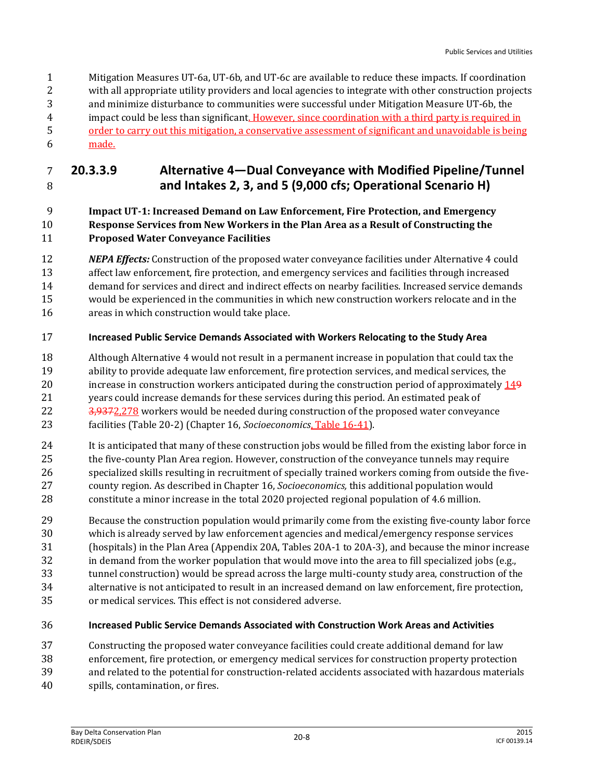Mitigation Measures UT-6a, UT-6b, and UT-6c are available to reduce these impacts. If coordination with all appropriate utility providers and local agencies to integrate with other construction projects and minimize disturbance to communities were successful under Mitigation Measure UT-6b, the impact could be less than significant. However, since coordination with a third party is required in order to carry out this mitigation, a conservative assessment of significant and unavoidable is being made.

# **20.3.3.9 Alternative 4—Dual Conveyance with Modified Pipeline/Tunnel and Intakes 2, 3, and 5 (9,000 cfs; Operational Scenario H)**

#### **Impact UT-1: Increased Demand on Law Enforcement, Fire Protection, and Emergency Response Services from New Workers in the Plan Area as a Result of Constructing the Proposed Water Conveyance Facilities**

- *NEPA Effects:* Construction of the proposed water conveyance facilities under Alternative 4 could
- affect law enforcement, fire protection, and emergency services and facilities through increased demand for services and direct and indirect effects on nearby facilities. Increased service demands
- would be experienced in the communities in which new construction workers relocate and in the
- areas in which construction would take place.

# **Increased Public Service Demands Associated with Workers Relocating to the Study Area**

- Although Alternative 4 would not result in a permanent increase in population that could tax the ability to provide adequate law enforcement, fire protection services, and medical services, the 20 increase in construction workers anticipated during the construction period of approximately 149 years could increase demands for these services during this period. An estimated peak of 22 3,9372,278 workers would be needed during construction of the proposed water conveyance facilities (Table 20-2) (Chapter 16, *Socioeconomics*, Table 16-41).
- It is anticipated that many of these construction jobs would be filled from the existing labor force in the five-county Plan Area region. However, construction of the conveyance tunnels may require specialized skills resulting in recruitment of specially trained workers coming from outside the five- county region. As described in Chapter 16, *Socioeconomics,* this additional population would constitute a minor increase in the total 2020 projected regional population of 4.6 million.
- Because the construction population would primarily come from the existing five-county labor force
- which is already served by law enforcement agencies and medical/emergency response services
- (hospitals) in the Plan Area (Appendix 20A, Tables 20A-1 to 20A-3), and because the minor increase
- in demand from the worker population that would move into the area to fill specialized jobs (e.g.,
- tunnel construction) would be spread across the large multi-county study area, construction of the
- alternative is not anticipated to result in an increased demand on law enforcement, fire protection,
- or medical services. This effect is not considered adverse.
- **Increased Public Service Demands Associated with Construction Work Areas and Activities**
- Constructing the proposed water conveyance facilities could create additional demand for law
- enforcement, fire protection, or emergency medical services for construction property protection
- and related to the potential for construction-related accidents associated with hazardous materials
- spills, contamination, or fires.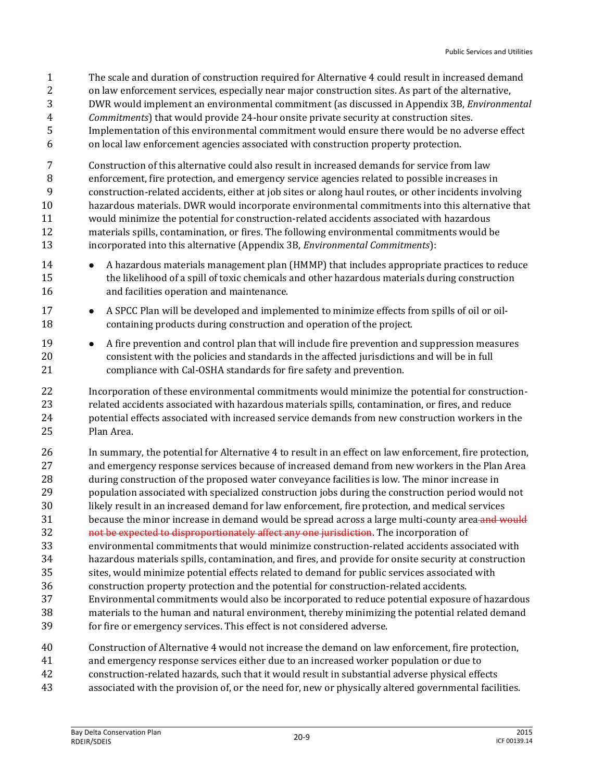- The scale and duration of construction required for Alternative 4 could result in increased demand
- 2 on law enforcement services, especially near major construction sites. As part of the alternative,
- DWR would implement an environmental commitment (as discussed in Appendix 3B, *Environmental*
- *Commitments*) that would provide 24-hour onsite private security at construction sites.
- Implementation of this environmental commitment would ensure there would be no adverse effect
- on local law enforcement agencies associated with construction property protection.

 Construction of this alternative could also result in increased demands for service from law enforcement, fire protection, and emergency service agencies related to possible increases in construction-related accidents, either at job sites or along haul routes, or other incidents involving hazardous materials. DWR would incorporate environmental commitments into this alternative that would minimize the potential for construction-related accidents associated with hazardous materials spills, contamination, or fires. The following environmental commitments would be incorporated into this alternative (Appendix 3B, *Environmental Commitments*):

- 14 A hazardous materials management plan (HMMP) that includes appropriate practices to reduce the likelihood of a spill of toxic chemicals and other hazardous materials during construction and facilities operation and maintenance.
- 17 A SPCC Plan will be developed and implemented to minimize effects from spills of oil or oil-containing products during construction and operation of the project.
- **•** A fire prevention and control plan that will include fire prevention and suppression measures consistent with the policies and standards in the affected jurisdictions and will be in full compliance with Cal-OSHA standards for fire safety and prevention.

 Incorporation of these environmental commitments would minimize the potential for construction- related accidents associated with hazardous materials spills, contamination, or fires, and reduce potential effects associated with increased service demands from new construction workers in the Plan Area.

- In summary, the potential for Alternative 4 to result in an effect on law enforcement, fire protection, and emergency response services because of increased demand from new workers in the Plan Area during construction of the proposed water conveyance facilities is low. The minor increase in
- population associated with specialized construction jobs during the construction period would not
- likely result in an increased demand for law enforcement, fire protection, and medical services
- 31 because the minor increase in demand would be spread across a large multi-county area and would
- 32 not be expected to disproportionately affect any one jurisdiction. The incorporation of
- environmental commitments that would minimize construction-related accidents associated with hazardous materials spills, contamination, and fires, and provide for onsite security at construction
- sites, would minimize potential effects related to demand for public services associated with
- construction property protection and the potential for construction-related accidents.
- Environmental commitments would also be incorporated to reduce potential exposure of hazardous materials to the human and natural environment, thereby minimizing the potential related demand for fire or emergency services. This effect is not considered adverse.
- Construction of Alternative 4 would not increase the demand on law enforcement, fire protection,
- and emergency response services either due to an increased worker population or due to
- construction-related hazards, such that it would result in substantial adverse physical effects
- associated with the provision of, or the need for, new or physically altered governmental facilities.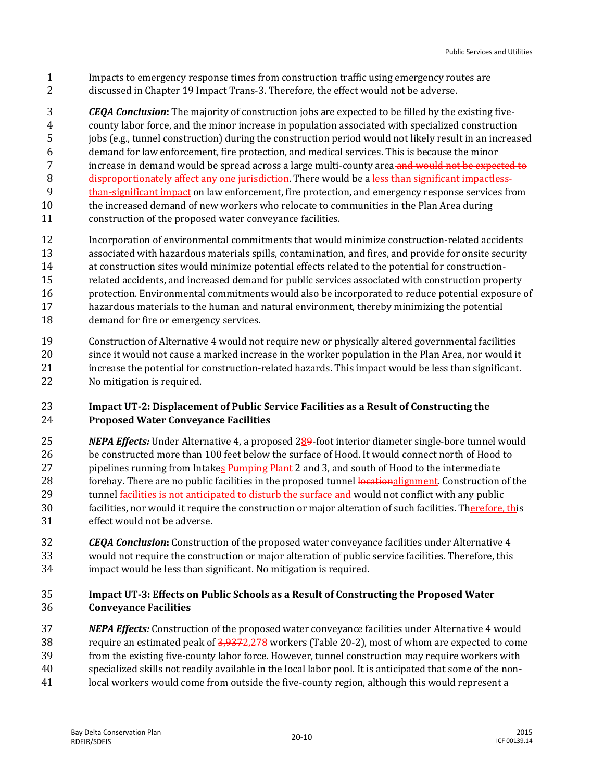- Impacts to emergency response times from construction traffic using emergency routes are discussed in Chapter 19 Impact Trans-3. Therefore, the effect would not be adverse.
- *CEQA Conclusion***:** The majority of construction jobs are expected to be filled by the existing five- county labor force, and the minor increase in population associated with specialized construction jobs (e.g., tunnel construction) during the construction period would not likely result in an increased demand for law enforcement, fire protection, and medical services. This is because the minor 7 increase in demand would be spread across a large multi-county area and would not be expected to 8 disproportionately affect any one jurisdiction. There would be a less than significant impactless- than-significant impact on law enforcement, fire protection, and emergency response services from the increased demand of new workers who relocate to communities in the Plan Area during construction of the proposed water conveyance facilities.
- Incorporation of environmental commitments that would minimize construction-related accidents associated with hazardous materials spills, contamination, and fires, and provide for onsite security at construction sites would minimize potential effects related to the potential for construction- related accidents, and increased demand for public services associated with construction property protection. Environmental commitments would also be incorporated to reduce potential exposure of hazardous materials to the human and natural environment, thereby minimizing the potential demand for fire or emergency services.
- Construction of Alternative 4 would not require new or physically altered governmental facilities since it would not cause a marked increase in the worker population in the Plan Area, nor would it increase the potential for construction-related hazards. This impact would be less than significant. No mitigation is required.

#### **Impact UT-2: Displacement of Public Service Facilities as a Result of Constructing the Proposed Water Conveyance Facilities**

- *NEPA Effects:* Under Alternative 4, a proposed 289-foot interior diameter single-bore tunnel would be constructed more than 100 feet below the surface of Hood. It would connect north of Hood to 27 pipelines running from Intakes Pumping Plant-2 and 3, and south of Hood to the intermediate 28 forebay. There are no public facilities in the proposed tunnel locationalignment. Construction of the 29 tunnel facilities is not anticipated to disturb the surface and would not conflict with any public facilities, nor would it require the construction or major alteration of such facilities. Therefore, this effect would not be adverse.
- *CEQA Conclusion***:** Construction of the proposed water conveyance facilities under Alternative 4 would not require the construction or major alteration of public service facilities. Therefore, this impact would be less than significant. No mitigation is required.

# **Impact UT-3: Effects on Public Schools as a Result of Constructing the Proposed Water Conveyance Facilities**

 *NEPA Effects:* Construction of the proposed water conveyance facilities under Alternative 4 would require an estimated peak of 3,9372,278 workers (Table 20-2), most of whom are expected to come from the existing five-county labor force. However, tunnel construction may require workers with specialized skills not readily available in the local labor pool. It is anticipated that some of the non-local workers would come from outside the five-county region, although this would represent a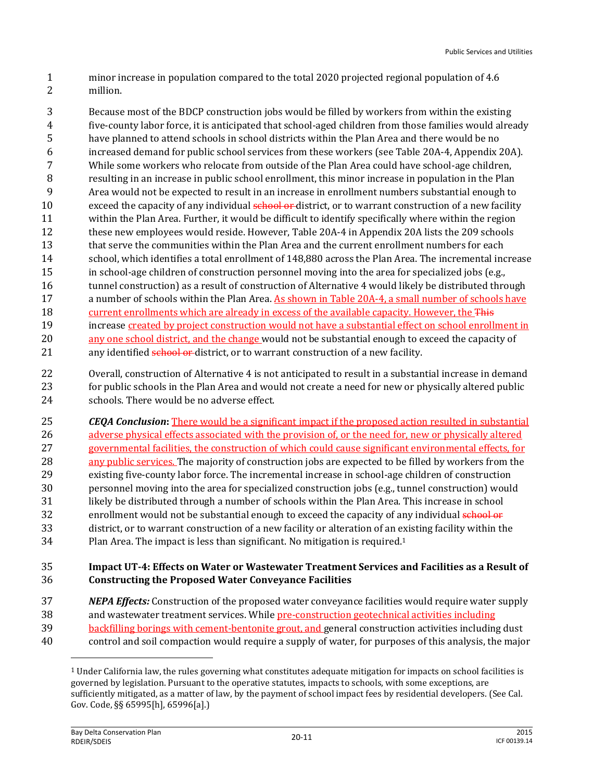- 1 minor increase in population compared to the total 2020 projected regional population of 4.6 2 million.
- 3 Because most of the BDCP construction jobs would be filled by workers from within the existing 4 five-county labor force, it is anticipated that school-aged children from those families would already 5 have planned to attend schools in school districts within the Plan Area and there would be no 6 increased demand for public school services from these workers (see Table 20A-4, Appendix 20A). 7 While some workers who relocate from outside of the Plan Area could have school-age children, 8 resulting in an increase in public school enrollment, this minor increase in population in the Plan 9 Area would not be expected to result in an increase in enrollment numbers substantial enough to 10 exceed the capacity of any individual school or district, or to warrant construction of a new facility 11 within the Plan Area. Further, it would be difficult to identify specifically where within the region 12 these new employees would reside. However, Table 20A-4 in Appendix 20A lists the 209 schools 13 that serve the communities within the Plan Area and the current enrollment numbers for each 14 school, which identifies a total enrollment of 148,880 across the Plan Area. The incremental increase 15 in school-age children of construction personnel moving into the area for specialized jobs (e.g., 16 tunnel construction) as a result of construction of Alternative 4 would likely be distributed through 17 a number of schools within the Plan Area. As shown in Table 20A-4, a small number of schools have 18 current enrollments which are already in excess of the available capacity. However, the This 19 increase created by project construction would not have a substantial effect on school enrollment in 20 any one school district, and the change would not be substantial enough to exceed the capacity of 21 any identified **school or district**, or to warrant construction of a new facility.
- 22 Overall, construction of Alternative 4 is not anticipated to result in a substantial increase in demand 23 for public schools in the Plan Area and would not create a need for new or physically altered public 24 schools. There would be no adverse effect.
- 25 *CEQA Conclusion***:** There would be a significant impact if the proposed action resulted in substantial 26 adverse physical effects associated with the provision of, or the need for, new or physically altered 27 governmental facilities, the construction of which could cause significant environmental effects, for 28 any public services. The majority of construction jobs are expected to be filled by workers from the 29 existing five-county labor force. The incremental increase in school-age children of construction 30 personnel moving into the area for specialized construction jobs (e.g., tunnel construction) would 31 likely be distributed through a number of schools within the Plan Area. This increase in school 32 enrollment would not be substantial enough to exceed the capacity of any individual school or 33 district, or to warrant construction of a new facility or alteration of an existing facility within the  $34$  Plan Area. The impact is less than significant. No mitigation is required.<sup>1</sup>

#### 35 **Impact UT-4: Effects on Water or Wastewater Treatment Services and Facilities as a Result of**  36 **Constructing the Proposed Water Conveyance Facilities**

- 37 *NEPA Effects:* Construction of the proposed water conveyance facilities would require water supply
- 38 and wastewater treatment services. While pre-construction geotechnical activities including
- 39 backfilling borings with cement-bentonite grout, and general construction activities including dust
- 40 control and soil compaction would require a supply of water, for purposes of this analysis, the major

l

 $1$  Under California law, the rules governing what constitutes adequate mitigation for impacts on school facilities is governed by legislation. Pursuant to the operative statutes, impacts to schools, with some exceptions, are sufficiently mitigated, as a matter of law, by the payment of school impact fees by residential developers. (See Cal. Gov. Code, §§ 65995[h], 65996[a].)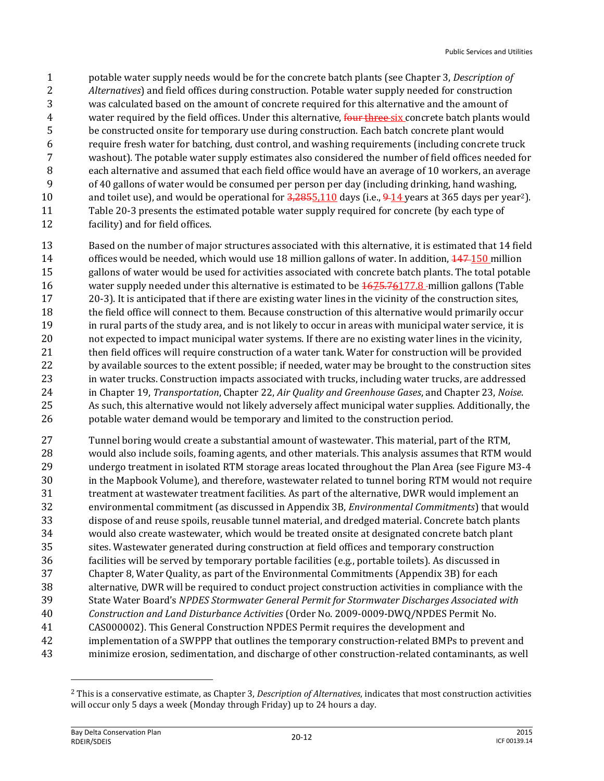- potable water supply needs would be for the concrete batch plants (see Chapter 3, *Description of Alternatives*) and field offices during construction. Potable water supply needed for construction was calculated based on the amount of concrete required for this alternative and the amount of 4 water required by the field offices. Under this alternative, four three-six concrete batch plants would be constructed onsite for temporary use during construction. Each batch concrete plant would require fresh water for batching, dust control, and washing requirements (including concrete truck washout). The potable water supply estimates also considered the number of field offices needed for each alternative and assumed that each field office would have an average of 10 workers, an average of 40 gallons of water would be consumed per person per day (including drinking, hand washing, 10 and toilet use), and would be operational for  $\frac{3,2855,110}{2}$  days (i.e.,  $\frac{9.14}{2}$  years at 365 days per year<sup>2</sup>). Table 20-3 presents the estimated potable water supply required for concrete (by each type of facility) and for field offices.
- Based on the number of major structures associated with this alternative, it is estimated that 14 field 14 offices would be needed, which would use 18 million gallons of water. In addition,  $\frac{147}{150}$  million gallons of water would be used for activities associated with concrete batch plants. The total potable water supply needed under this alternative is estimated to be 1675.76177.8 million gallons (Table 20-3). It is anticipated that if there are existing water lines in the vicinity of the construction sites, the field office will connect to them. Because construction of this alternative would primarily occur in rural parts of the study area, and is not likely to occur in areas with municipal water service, it is not expected to impact municipal water systems. If there are no existing water lines in the vicinity, 21 then field offices will require construction of a water tank. Water for construction will be provided 22 by available sources to the extent possible; if needed, water may be brought to the construction sites in water trucks. Construction impacts associated with trucks, including water trucks, are addressed in Chapter 19, *Transportation*, Chapter 22, *Air Quality and Greenhouse Gases*, and Chapter 23, *Noise*. As such, this alternative would not likely adversely affect municipal water supplies. Additionally, the potable water demand would be temporary and limited to the construction period.
- Tunnel boring would create a substantial amount of wastewater. This material, part of the RTM, would also include soils, foaming agents, and other materials. This analysis assumes that RTM would undergo treatment in isolated RTM storage areas located throughout the Plan Area (see Figure M3-4 in the Mapbook Volume), and therefore, wastewater related to tunnel boring RTM would not require treatment at wastewater treatment facilities. As part of the alternative, DWR would implement an environmental commitment (as discussed in Appendix 3B, *Environmental Commitments*) that would dispose of and reuse spoils, reusable tunnel material, and dredged material. Concrete batch plants would also create wastewater, which would be treated onsite at designated concrete batch plant sites. Wastewater generated during construction at field offices and temporary construction facilities will be served by temporary portable facilities (e.g., portable toilets). As discussed in Chapter 8, Water Quality, as part of the Environmental Commitments (Appendix 3B) for each alternative, DWR will be required to conduct project construction activities in compliance with the State Water Board's *NPDES Stormwater General Permit for Stormwater Discharges Associated with Construction and Land Disturbance Activities* (Order No. 2009-0009-DWQ/NPDES Permit No. CAS000002). This General Construction NPDES Permit requires the development and implementation of a SWPPP that outlines the temporary construction-related BMPs to prevent and minimize erosion, sedimentation, and discharge of other construction-related contaminants, as well

 $\overline{a}$ 

 This is a conservative estimate, as Chapter 3, *Description of Alternatives*, indicates that most construction activities will occur only 5 days a week (Monday through Friday) up to 24 hours a day.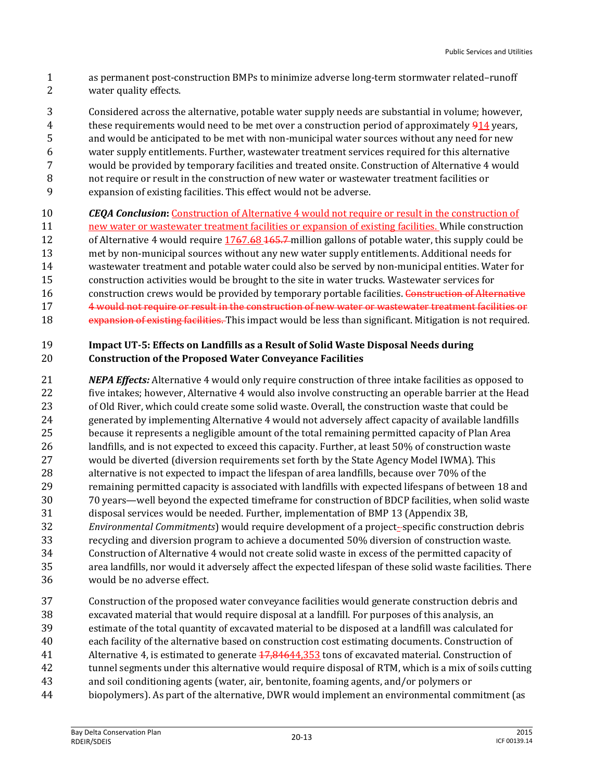- as permanent post-construction BMPs to minimize adverse long-term stormwater related–runoff water quality effects.
- Considered across the alternative, potable water supply needs are substantial in volume; however, these requirements would need to be met over a construction period of approximately 914 years, and would be anticipated to be met with non-municipal water sources without any need for new water supply entitlements. Further, wastewater treatment services required for this alternative would be provided by temporary facilities and treated onsite. Construction of Alternative 4 would not require or result in the construction of new water or wastewater treatment facilities or expansion of existing facilities. This effect would not be adverse.
- *CEQA Conclusion***:** Construction of Alternative 4 would not require or result in the construction of new water or wastewater treatment facilities or expansion of existing facilities. While construction 12 of Alternative 4 would require 1767.68 165.7 million gallons of potable water, this supply could be met by non-municipal sources without any new water supply entitlements. Additional needs for wastewater treatment and potable water could also be served by non-municipal entities. Water for construction activities would be brought to the site in water trucks. Wastewater services for 16 construction crews would be provided by temporary portable facilities. Construction of Alternative 4 would not require or result in the construction of new water or wastewater treatment facilities or 18 expansion of existing facilities. This impact would be less than significant. Mitigation is not required.

#### **Impact UT-5: Effects on Landfills as a Result of Solid Waste Disposal Needs during Construction of the Proposed Water Conveyance Facilities**

- *NEPA Effects:* Alternative 4 would only require construction of three intake facilities as opposed to five intakes; however, Alternative 4 would also involve constructing an operable barrier at the Head of Old River, which could create some solid waste. Overall, the construction waste that could be generated by implementing Alternative 4 would not adversely affect capacity of available landfills because it represents a negligible amount of the total remaining permitted capacity of Plan Area landfills, and is not expected to exceed this capacity. Further, at least 50% of construction waste would be diverted (diversion requirements set forth by the State Agency Model IWMA). This alternative is not expected to impact the lifespan of area landfills, because over 70% of the remaining permitted capacity is associated with landfills with expected lifespans of between 18 and 70 years—well beyond the expected timeframe for construction of BDCP facilities, when solid waste disposal services would be needed. Further, implementation of BMP 13 (Appendix 3B, *Environmental Commitments*) would require development of a project- specific construction debris recycling and diversion program to achieve a documented 50% diversion of construction waste. Construction of Alternative 4 would not create solid waste in excess of the permitted capacity of area landfills, nor would it adversely affect the expected lifespan of these solid waste facilities. There
- would be no adverse effect.
- Construction of the proposed water conveyance facilities would generate construction debris and
- excavated material that would require disposal at a landfill. For purposes of this analysis, an
- estimate of the total quantity of excavated material to be disposed at a landfill was calculated for
- each facility of the alternative based on construction cost estimating documents. Construction of
- 41 Alternative 4, is estimated to generate  $17,84644,353$  tons of excavated material. Construction of tunnel segments under this alternative would require disposal of RTM, which is a mix of soils cutting
- and soil conditioning agents (water, air, bentonite, foaming agents, and/or polymers or
- biopolymers). As part of the alternative, DWR would implement an environmental commitment (as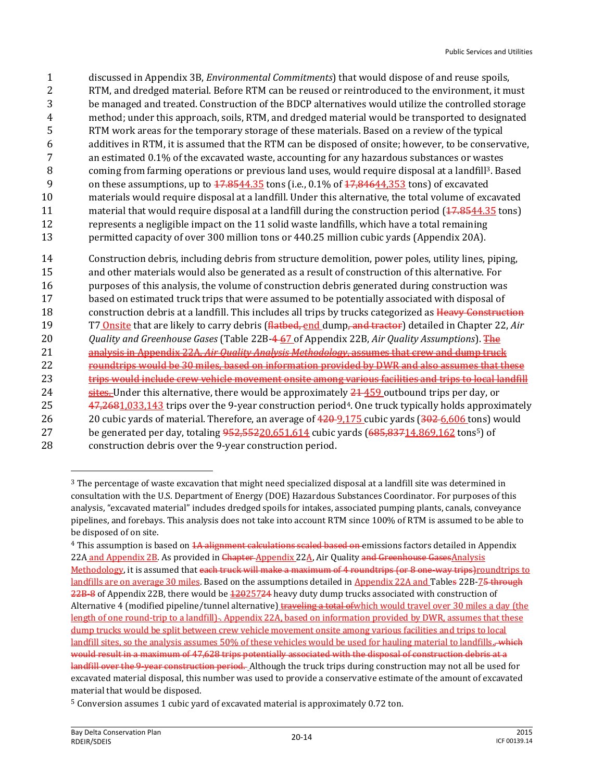- 1 discussed in Appendix 3B, *Environmental Commitments*) that would dispose of and reuse spoils,
- 2 RTM, and dredged material. Before RTM can be reused or reintroduced to the environment, it must
- 3 be managed and treated. Construction of the BDCP alternatives would utilize the controlled storage
- 4 method; under this approach, soils, RTM, and dredged material would be transported to designated 5 RTM work areas for the temporary storage of these materials. Based on a review of the typical
- 6 additives in RTM, it is assumed that the RTM can be disposed of onsite; however, to be conservative,
- 7 an estimated 0.1% of the excavated waste, accounting for any hazardous substances or wastes
- 8 coming from farming operations or previous land uses, would require disposal at a landfill<sup>3</sup>. Based
- 9 on these assumptions, up to  $17.8544.35$  tons (i.e., 0.1% of  $17.84644.353$  tons) of excavated
- 10 materials would require disposal at a landfill. Under this alternative, the total volume of excavated
- 11 material that would require disposal at a landfill during the construction period ( $\overline{17.8544.35}$  tons) 12 represents a negligible impact on the 11 solid waste landfills, which have a total remaining
- 13 permitted capacity of over 300 million tons or 440.25 million cubic yards (Appendix 20A).

14 Construction debris, including debris from structure demolition, power poles, utility lines, piping, 15 and other materials would also be generated as a result of construction of this alternative. For 16 purposes of this analysis, the volume of construction debris generated during construction was 17 based on estimated truck trips that were assumed to be potentially associated with disposal of 18 construction debris at a landfill. This includes all trips by trucks categorized as Heavy Construction 19 T7 Onsite that are likely to carry debris (flatbed, end dump, and tractor) detailed in Chapter 22, *Air*  20 *Quality and Greenhouse Gases* (Table 22B-4 67 of Appendix 22B, *Air Quality Assumptions*). The 21 analysis in Appendix 22A, *Air Quality Analysis Methodology*, assumes that crew and dump truck 22 roundtrips would be 30 miles, based on information provided by DWR and also assumes that these 23 trips would include crew vehicle movement onsite among various facilities and trips to local landfill 24 sites. Under this alternative, there would be approximately  $21-459$  outbound trips per day, or 25 47,2681,033,143 trips over the 9-year construction period<sup>4</sup>. One truck typically holds approximately 26 20 20 cubic vards of material. Therefore, an average of  $\frac{420-9}{175}$  cubic vards  $\left(\frac{302-6}{606}\right)$  tons) would 27 be generated per day, totaling  $952,55220,651,614$  cubic yards  $(685,83714,869,162 \text{ tons}^5)$  of

 $\overline{a}$ 

<sup>28</sup> construction debris over the 9-year construction period.

<sup>3</sup> The percentage of waste excavation that might need specialized disposal at a landfill site was determined in consultation with the U.S. Department of Energy (DOE) Hazardous Substances Coordinator. For purposes of this analysis, "excavated material" includes dredged spoils for intakes, associated pumping plants, canals, conveyance pipelines, and forebays. This analysis does not take into account RTM since 100% of RTM is assumed to be able to be disposed of on site.

<sup>&</sup>lt;sup>4</sup> This assumption is based on <del>1A alignment calculations scaled based on e</del>missions factors detailed in Appendix 22A and Appendix 2B. As provided in Chapter-Appendix 22A, Air Quality and Greenhouse GasesAnalysis Methodology, it is assumed that each truck will make a maximum of 4 roundtrips (or 8 one-way trips)roundtrips to landfills are on average 30 miles. Based on the assumptions detailed in Appendix 22A and Tables 22B-75 through 22B-8 of Appendix 22B, there would be 12025724 heavy duty dump trucks associated with construction of Alternative 4 (modified pipeline/tunnel alternative) traveling a total of which would travel over 30 miles a day (the length of one round-trip to a landfill). Appendix 22A, based on information provided by DWR, assumes that these dump trucks would be split between crew vehicle movement onsite among various facilities and trips to local landfill sites, so the analysis assumes 50% of these vehicles would be used for hauling material to landfills. which would result in a maximum of 47,628 trips potentially associated with the disposal of construction debris at a landfill over the 9-year construction period. Although the truck trips during construction may not all be used for excavated material disposal, this number was used to provide a conservative estimate of the amount of excavated material that would be disposed.

<sup>5</sup> Conversion assumes 1 cubic yard of excavated material is approximately 0.72 ton.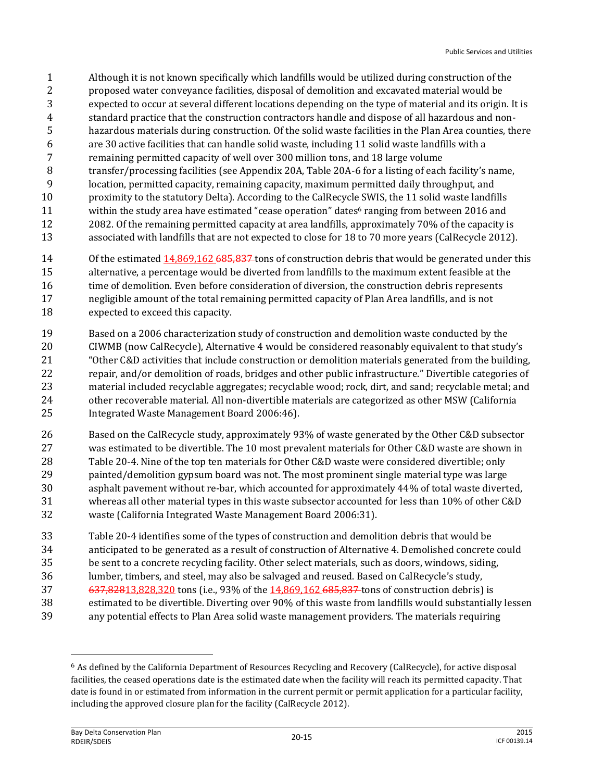- Although it is not known specifically which landfills would be utilized during construction of the
- proposed water conveyance facilities, disposal of demolition and excavated material would be
- expected to occur at several different locations depending on the type of material and its origin. It is
- standard practice that the construction contractors handle and dispose of all hazardous and non-hazardous materials during construction. Of the solid waste facilities in the Plan Area counties, there
- are 30 active facilities that can handle solid waste, including 11 solid waste landfills with a
- remaining permitted capacity of well over 300 million tons, and 18 large volume
- transfer/processing facilities (see Appendix 20A, Table 20A-6 for a listing of each facility's name,
- location, permitted capacity, remaining capacity, maximum permitted daily throughput, and
- proximity to the statutory Delta). According to the CalRecycle SWIS, the 11 solid waste landfills
- 11 within the study area have estimated "cease operation" dates<sup>6</sup> ranging from between 2016 and
- 2082. Of the remaining permitted capacity at area landfills, approximately 70% of the capacity is
- associated with landfills that are not expected to close for 18 to 70 more years (CalRecycle 2012).
- 14 Of the estimated  $14,869,162,685,837$  tons of construction debris that would be generated under this
- alternative, a percentage would be diverted from landfills to the maximum extent feasible at the 16 time of demolition. Even before consideration of diversion, the construction debris represents negligible amount of the total remaining permitted capacity of Plan Area landfills, and is not expected to exceed this capacity.
- Based on a 2006 characterization study of construction and demolition waste conducted by the CIWMB (now CalRecycle), Alternative 4 would be considered reasonably equivalent to that study's "Other C&D activities that include construction or demolition materials generated from the building, repair, and/or demolition of roads, bridges and other public infrastructure." Divertible categories of material included recyclable aggregates; recyclable wood; rock, dirt, and sand; recyclable metal; and other recoverable material. All non-divertible materials are categorized as other MSW (California Integrated Waste Management Board 2006:46).
- Based on the CalRecycle study, approximately 93% of waste generated by the Other C&D subsector was estimated to be divertible. The 10 most prevalent materials for Other C&D waste are shown in Table 20-4. Nine of the top ten materials for Other C&D waste were considered divertible; only painted/demolition gypsum board was not. The most prominent single material type was large asphalt pavement without re-bar, which accounted for approximately 44% of total waste diverted, whereas all other material types in this waste subsector accounted for less than 10% of other C&D waste (California Integrated Waste Management Board 2006:31).
- Table 20-4 identifies some of the types of construction and demolition debris that would be
- anticipated to be generated as a result of construction of Alternative 4. Demolished concrete could
- be sent to a concrete recycling facility. Other select materials, such as doors, windows, siding,
- lumber, timbers, and steel, may also be salvaged and reused. Based on CalRecycle's study,
- 37 637,82813,828,320 tons (i.e., 93% of the 14,869,162 685,837 tons of construction debris) is
- estimated to be divertible. Diverting over 90% of this waste from landfills would substantially lessen
- any potential effects to Plan Area solid waste management providers. The materials requiring

 $\overline{\phantom{0}}$ 

 As defined by the California Department of Resources Recycling and Recovery (CalRecycle), for active disposal facilities, the ceased operations date is the estimated date when the facility will reach its permitted capacity. That date is found in or estimated from information in the current permit or permit application for a particular facility, including the approved closure plan for the facility (CalRecycle 2012).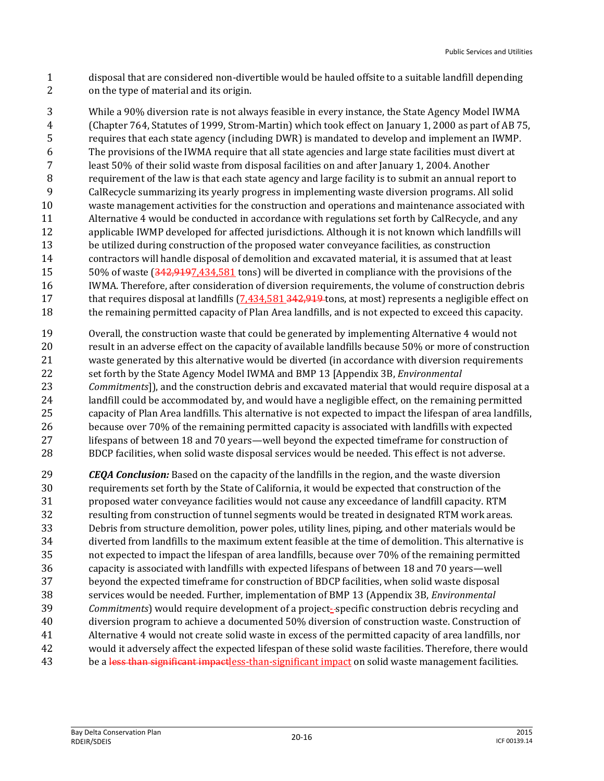- disposal that are considered non-divertible would be hauled offsite to a suitable landfill depending on the type of material and its origin.
- While a 90% diversion rate is not always feasible in every instance, the State Agency Model IWMA (Chapter 764, Statutes of 1999, Strom-Martin) which took effect on January 1, 2000 as part of AB 75, requires that each state agency (including DWR) is mandated to develop and implement an IWMP. The provisions of the IWMA require that all state agencies and large state facilities must divert at least 50% of their solid waste from disposal facilities on and after January 1, 2004. Another requirement of the law is that each state agency and large facility is to submit an annual report to CalRecycle summarizing its yearly progress in implementing waste diversion programs. All solid waste management activities for the construction and operations and maintenance associated with Alternative 4 would be conducted in accordance with regulations set forth by CalRecycle, and any applicable IWMP developed for affected jurisdictions. Although it is not known which landfills will be utilized during construction of the proposed water conveyance facilities, as construction contractors will handle disposal of demolition and excavated material, it is assumed that at least 50% of waste (342,9197,434,581 tons) will be diverted in compliance with the provisions of the IWMA. Therefore, after consideration of diversion requirements, the volume of construction debris 17 that requires disposal at landfills  $(7,434,581,342,919$  tons, at most) represents a negligible effect on the remaining permitted capacity of Plan Area landfills, and is not expected to exceed this capacity.
- Overall, the construction waste that could be generated by implementing Alternative 4 would not result in an adverse effect on the capacity of available landfills because 50% or more of construction waste generated by this alternative would be diverted (in accordance with diversion requirements set forth by the State Agency Model IWMA and BMP 13 [Appendix 3B, *Environmental Commitments*]), and the construction debris and excavated material that would require disposal at a landfill could be accommodated by, and would have a negligible effect, on the remaining permitted capacity of Plan Area landfills. This alternative is not expected to impact the lifespan of area landfills, because over 70% of the remaining permitted capacity is associated with landfills with expected lifespans of between 18 and 70 years—well beyond the expected timeframe for construction of BDCP facilities, when solid waste disposal services would be needed. This effect is not adverse.
- *CEQA Conclusion:* Based on the capacity of the landfills in the region, and the waste diversion requirements set forth by the State of California, it would be expected that construction of the proposed water conveyance facilities would not cause any exceedance of landfill capacity. RTM resulting from construction of tunnel segments would be treated in designated RTM work areas. Debris from structure demolition, power poles, utility lines, piping, and other materials would be diverted from landfills to the maximum extent feasible at the time of demolition. This alternative is not expected to impact the lifespan of area landfills, because over 70% of the remaining permitted capacity is associated with landfills with expected lifespans of between 18 and 70 years—well beyond the expected timeframe for construction of BDCP facilities, when solid waste disposal services would be needed. Further, implementation of BMP 13 (Appendix 3B, *Environmental Commitments*) would require development of a project- specific construction debris recycling and diversion program to achieve a documented 50% diversion of construction waste. Construction of Alternative 4 would not create solid waste in excess of the permitted capacity of area landfills, nor would it adversely affect the expected lifespan of these solid waste facilities. Therefore, there would 43 be a less than significant impactless-than-significant impact on solid waste management facilities.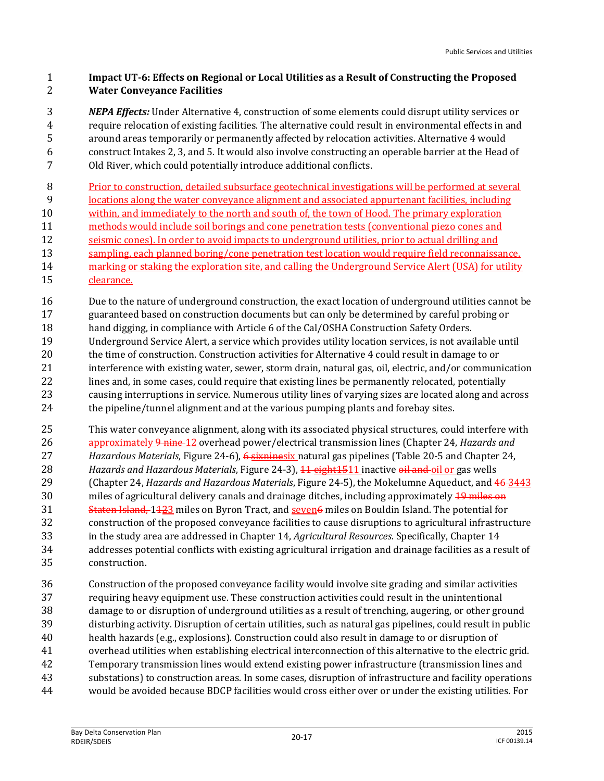#### **Impact UT-6: Effects on Regional or Local Utilities as a Result of Constructing the Proposed Water Conveyance Facilities**

 *NEPA Effects:* Under Alternative 4, construction of some elements could disrupt utility services or require relocation of existing facilities. The alternative could result in environmental effects in and around areas temporarily or permanently affected by relocation activities. Alternative 4 would construct Intakes 2, 3, and 5. It would also involve constructing an operable barrier at the Head of Old River, which could potentially introduce additional conflicts.

Prior to construction, detailed subsurface geotechnical investigations will be performed at several

- locations along the water conveyance alignment and associated appurtenant facilities, including within, and immediately to the north and south of, the town of Hood. The primary exploration
- 
- methods would include soil borings and cone penetration tests (conventional piezo cones and
- seismic cones). In order to avoid impacts to underground utilities, prior to actual drilling and 13 sampling, each planned boring/cone penetration test location would require field reconnaissance,
- marking or staking the exploration site, and calling the Underground Service Alert (USA) for utility
- clearance.
- Due to the nature of underground construction, the exact location of underground utilities cannot be guaranteed based on construction documents but can only be determined by careful probing or
- 18 hand digging, in compliance with Article 6 of the Cal/OSHA Construction Safety Orders.
- Underground Service Alert, a service which provides utility location services, is not available until the time of construction. Construction activities for Alternative 4 could result in damage to or interference with existing water, sewer, storm drain, natural gas, oil, electric, and/or communication 22 lines and, in some cases, could require that existing lines be permanently relocated, potentially causing interruptions in service. Numerous utility lines of varying sizes are located along and across the pipeline/tunnel alignment and at the various pumping plants and forebay sites.
- This water conveyance alignment, along with its associated physical structures, could interfere with approximately 9 nine 12 overhead power/electrical transmission lines (Chapter 24, *Hazards and Hazardous Materials*, Figure 24-6), 6 sixninesix natural gas pipelines (Table 20-5 and Chapter 24, *Hazards and Hazardous Materials*, Figure 24-3), 11 eight1511 inactive oil and oil or gas wells (Chapter 24, *Hazards and Hazardous Materials*, Figure 24-5), the Mokelumne Aqueduct, and 46 3443 30 miles of agricultural delivery canals and drainage ditches, including approximately  $\frac{19}{2}$  miles on 31 Staten Island, 1123 miles on Byron Tract, and seven6 miles on Bouldin Island. The potential for construction of the proposed conveyance facilities to cause disruptions to agricultural infrastructure in the study area are addressed in Chapter 14, *Agricultural Resources*. Specifically, Chapter 14 addresses potential conflicts with existing agricultural irrigation and drainage facilities as a result of construction.
- Construction of the proposed conveyance facility would involve site grading and similar activities requiring heavy equipment use. These construction activities could result in the unintentional damage to or disruption of underground utilities as a result of trenching, augering, or other ground disturbing activity. Disruption of certain utilities, such as natural gas pipelines, could result in public health hazards (e.g., explosions). Construction could also result in damage to or disruption of overhead utilities when establishing electrical interconnection of this alternative to the electric grid. Temporary transmission lines would extend existing power infrastructure (transmission lines and substations) to construction areas. In some cases, disruption of infrastructure and facility operations would be avoided because BDCP facilities would cross either over or under the existing utilities. For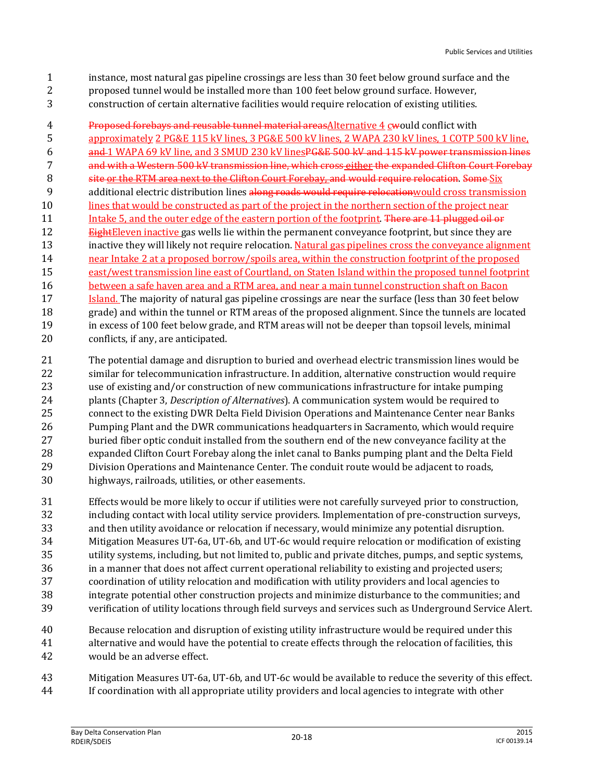- instance, most natural gas pipeline crossings are less than 30 feet below ground surface and the
- proposed tunnel would be installed more than 100 feet below ground surface. However,
- construction of certain alternative facilities would require relocation of existing utilities.

 Proposed forebays and reusable tunnel material areasAlternative 4 cwould conflict with approximately 2 PG&E 115 kV lines, 3 PG&E 500 kV lines, 2 WAPA 230 kV lines, 1 COTP 500 kV line, and 1 WAPA 69 kV line, and 3 SMUD 230 kV linesPG&E 500 kV and 115 kV power transmission lines 7 and with a Western 500 kV transmission line, which cross either the expanded Clifton Court Forebay 8 site or the RTM area next to the Clifton Court Forebay, and would require relocation. Some Six 9 additional electric distribution lines along roads would require relocation would cross transmission 10 lines that would be constructed as part of the project in the northern section of the project near 11 Intake 5, and the outer edge of the eastern portion of the footprint. There are 11 plugged oil or **EightEleven inactive gas wells lie within the permanent conveyance footprint, but since they are**  inactive they will likely not require relocation. Natural gas pipelines cross the conveyance alignment near Intake 2 at a proposed borrow/spoils area, within the construction footprint of the proposed east/west transmission line east of Courtland, on Staten Island within the proposed tunnel footprint 16 between a safe haven area and a RTM area, and near a main tunnel construction shaft on Bacon **Island.** The majority of natural gas pipeline crossings are near the surface (less than 30 feet below grade) and within the tunnel or RTM areas of the proposed alignment. Since the tunnels are located in excess of 100 feet below grade, and RTM areas will not be deeper than topsoil levels, minimal conflicts, if any, are anticipated.

- The potential damage and disruption to buried and overhead electric transmission lines would be similar for telecommunication infrastructure. In addition, alternative construction would require use of existing and/or construction of new communications infrastructure for intake pumping plants (Chapter 3, *Description of Alternatives*). A communication system would be required to connect to the existing DWR Delta Field Division Operations and Maintenance Center near Banks Pumping Plant and the DWR communications headquarters in Sacramento, which would require buried fiber optic conduit installed from the southern end of the new conveyance facility at the expanded Clifton Court Forebay along the inlet canal to Banks pumping plant and the Delta Field Division Operations and Maintenance Center. The conduit route would be adjacent to roads, highways, railroads, utilities, or other easements.
- Effects would be more likely to occur if utilities were not carefully surveyed prior to construction, including contact with local utility service providers. Implementation of pre-construction surveys, and then utility avoidance or relocation if necessary, would minimize any potential disruption. Mitigation Measures UT-6a, UT-6b, and UT-6c would require relocation or modification of existing utility systems, including, but not limited to, public and private ditches, pumps, and septic systems, in a manner that does not affect current operational reliability to existing and projected users; coordination of utility relocation and modification with utility providers and local agencies to integrate potential other construction projects and minimize disturbance to the communities; and verification of utility locations through field surveys and services such as Underground Service Alert.
- Because relocation and disruption of existing utility infrastructure would be required under this alternative and would have the potential to create effects through the relocation of facilities, this would be an adverse effect.
- Mitigation Measures UT-6a, UT-6b, and UT-6c would be available to reduce the severity of this effect. If coordination with all appropriate utility providers and local agencies to integrate with other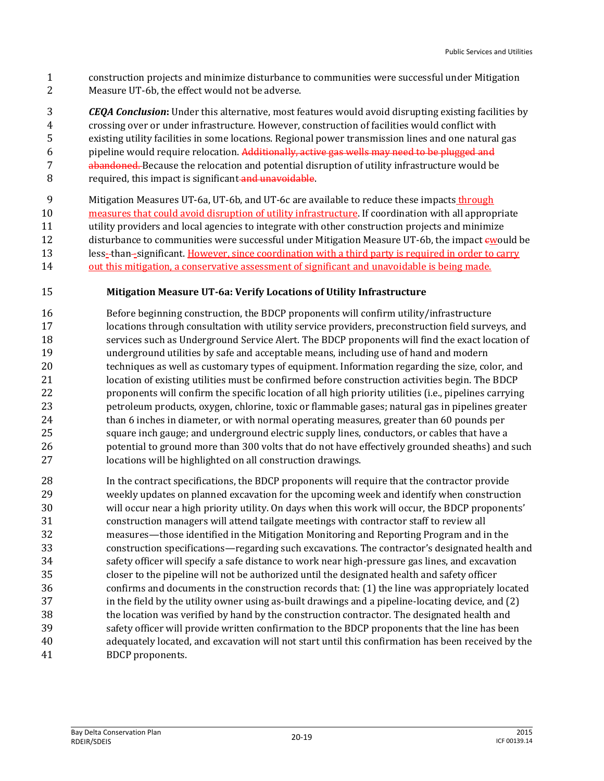construction projects and minimize disturbance to communities were successful under Mitigation Measure UT-6b, the effect would not be adverse.

 *CEQA Conclusion***:** Under this alternative, most features would avoid disrupting existing facilities by crossing over or under infrastructure. However, construction of facilities would conflict with existing utility facilities in some locations. Regional power transmission lines and one natural gas 6 pipeline would require relocation. Additionally, active gas wells may need to be plugged and 7 abandoned. Because the relocation and potential disruption of utility infrastructure would be 8 required, this impact is significant and unavoidable.

 Mitigation Measures UT-6a, UT-6b, and UT-6c are available to reduce these impacts through measures that could avoid disruption of utility infrastructure. If coordination with all appropriate utility providers and local agencies to integrate with other construction projects and minimize 12 disturbance to communities were successful under Mitigation Measure UT-6b, the impact ewould be less- than -significant. However, since coordination with a third party is required in order to carry out this mitigation, a conservative assessment of significant and unavoidable is being made.

#### **Mitigation Measure UT-6a: Verify Locations of Utility Infrastructure**

 Before beginning construction, the BDCP proponents will confirm utility/infrastructure locations through consultation with utility service providers, preconstruction field surveys, and services such as Underground Service Alert. The BDCP proponents will find the exact location of underground utilities by safe and acceptable means, including use of hand and modern techniques as well as customary types of equipment. Information regarding the size, color, and location of existing utilities must be confirmed before construction activities begin. The BDCP proponents will confirm the specific location of all high priority utilities (i.e., pipelines carrying petroleum products, oxygen, chlorine, toxic or flammable gases; natural gas in pipelines greater than 6 inches in diameter, or with normal operating measures, greater than 60 pounds per square inch gauge; and underground electric supply lines, conductors, or cables that have a potential to ground more than 300 volts that do not have effectively grounded sheaths) and such locations will be highlighted on all construction drawings.

 In the contract specifications, the BDCP proponents will require that the contractor provide weekly updates on planned excavation for the upcoming week and identify when construction will occur near a high priority utility. On days when this work will occur, the BDCP proponents' construction managers will attend tailgate meetings with contractor staff to review all measures—those identified in the Mitigation Monitoring and Reporting Program and in the construction specifications—regarding such excavations. The contractor's designated health and safety officer will specify a safe distance to work near high-pressure gas lines, and excavation closer to the pipeline will not be authorized until the designated health and safety officer confirms and documents in the construction records that: (1) the line was appropriately located in the field by the utility owner using as-built drawings and a pipeline-locating device, and (2) the location was verified by hand by the construction contractor. The designated health and safety officer will provide written confirmation to the BDCP proponents that the line has been adequately located, and excavation will not start until this confirmation has been received by the BDCP proponents.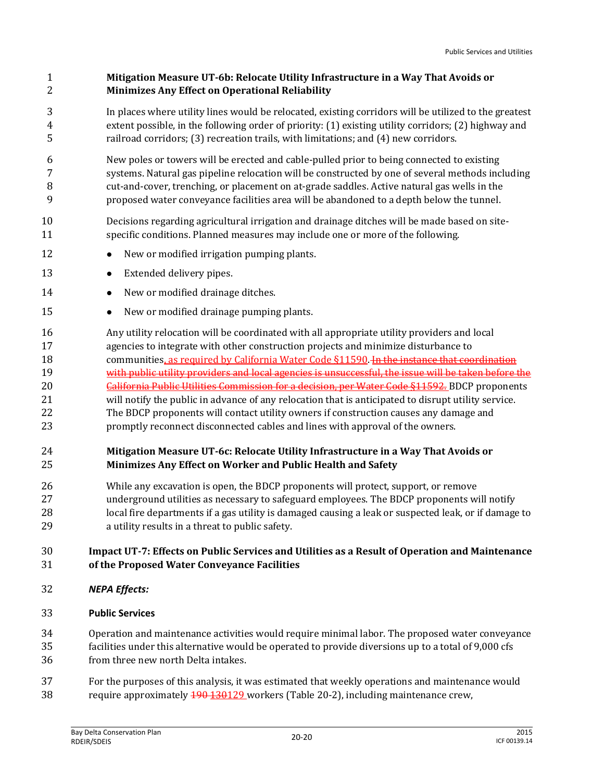# **Mitigation Measure UT-6b: Relocate Utility Infrastructure in a Way That Avoids or Minimizes Any Effect on Operational Reliability**

- In places where utility lines would be relocated, existing corridors will be utilized to the greatest extent possible, in the following order of priority: (1) existing utility corridors; (2) highway and railroad corridors; (3) recreation trails, with limitations; and (4) new corridors.
- New poles or towers will be erected and cable-pulled prior to being connected to existing systems. Natural gas pipeline relocation will be constructed by one of several methods including cut-and-cover, trenching, or placement on at-grade saddles. Active natural gas wells in the proposed water conveyance facilities area will be abandoned to a depth below the tunnel.
- Decisions regarding agricultural irrigation and drainage ditches will be made based on site-specific conditions. Planned measures may include one or more of the following.
- 12 New or modified irrigation pumping plants.
- 13 Extended delivery pipes.
- 14 New or modified drainage ditches.
- 15 New or modified drainage pumping plants.
- Any utility relocation will be coordinated with all appropriate utility providers and local agencies to integrate with other construction projects and minimize disturbance to 18 communities, as required by California Water Code §11590. In the instance that coordination with public utility providers and local agencies is unsuccessful, the issue will be taken before the 20 California Public Utilities Commission for a decision, per Water Code §11592. BDCP proponents will notify the public in advance of any relocation that is anticipated to disrupt utility service. The BDCP proponents will contact utility owners if construction causes any damage and promptly reconnect disconnected cables and lines with approval of the owners.

# **Mitigation Measure UT-6c: Relocate Utility Infrastructure in a Way That Avoids or Minimizes Any Effect on Worker and Public Health and Safety**

 While any excavation is open, the BDCP proponents will protect, support, or remove underground utilities as necessary to safeguard employees. The BDCP proponents will notify local fire departments if a gas utility is damaged causing a leak or suspected leak, or if damage to a utility results in a threat to public safety.

# **Impact UT-7: Effects on Public Services and Utilities as a Result of Operation and Maintenance of the Proposed Water Conveyance Facilities**

- *NEPA Effects:*
- **Public Services**

Operation and maintenance activities would require minimal labor. The proposed water conveyance

- facilities under this alternative would be operated to provide diversions up to a total of 9,000 cfs from three new north Delta intakes.
- For the purposes of this analysis, it was estimated that weekly operations and maintenance would require approximately 190 130129 workers (Table 20-2), including maintenance crew,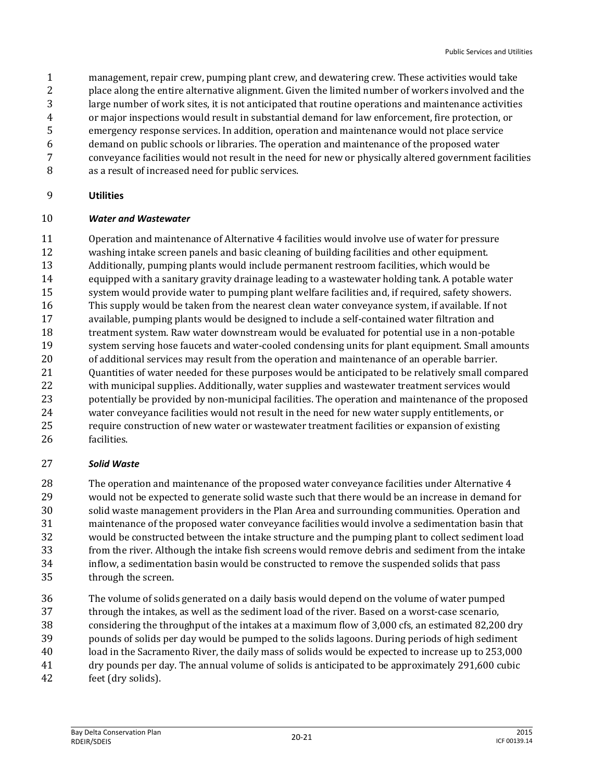- management, repair crew, pumping plant crew, and dewatering crew. These activities would take
- place along the entire alternative alignment. Given the limited number of workers involved and the
- large number of work sites, it is not anticipated that routine operations and maintenance activities
- or major inspections would result in substantial demand for law enforcement, fire protection, or
- emergency response services. In addition, operation and maintenance would not place service
- demand on public schools or libraries. The operation and maintenance of the proposed water
- conveyance facilities would not result in the need for new or physically altered government facilities
- as a result of increased need for public services.

# **Utilities**

# *Water and Wastewater*

 Operation and maintenance of Alternative 4 facilities would involve use of water for pressure washing intake screen panels and basic cleaning of building facilities and other equipment. Additionally, pumping plants would include permanent restroom facilities, which would be equipped with a sanitary gravity drainage leading to a wastewater holding tank. A potable water system would provide water to pumping plant welfare facilities and, if required, safety showers. This supply would be taken from the nearest clean water conveyance system, if available. If not available, pumping plants would be designed to include a self-contained water filtration and treatment system. Raw water downstream would be evaluated for potential use in a non-potable system serving hose faucets and water-cooled condensing units for plant equipment. Small amounts of additional services may result from the operation and maintenance of an operable barrier. Quantities of water needed for these purposes would be anticipated to be relatively small compared with municipal supplies. Additionally, water supplies and wastewater treatment services would potentially be provided by non-municipal facilities. The operation and maintenance of the proposed water conveyance facilities would not result in the need for new water supply entitlements, or require construction of new water or wastewater treatment facilities or expansion of existing facilities.

# *Solid Waste*

 The operation and maintenance of the proposed water conveyance facilities under Alternative 4 would not be expected to generate solid waste such that there would be an increase in demand for solid waste management providers in the Plan Area and surrounding communities. Operation and maintenance of the proposed water conveyance facilities would involve a sedimentation basin that would be constructed between the intake structure and the pumping plant to collect sediment load from the river. Although the intake fish screens would remove debris and sediment from the intake inflow, a sedimentation basin would be constructed to remove the suspended solids that pass through the screen.

- The volume of solids generated on a daily basis would depend on the volume of water pumped through the intakes, as well as the sediment load of the river. Based on a worst-case scenario, considering the throughput of the intakes at a maximum flow of 3,000 cfs, an estimated 82,200 dry pounds of solids per day would be pumped to the solids lagoons. During periods of high sediment load in the Sacramento River, the daily mass of solids would be expected to increase up to 253,000 dry pounds per day. The annual volume of solids is anticipated to be approximately 291,600 cubic
- feet (dry solids).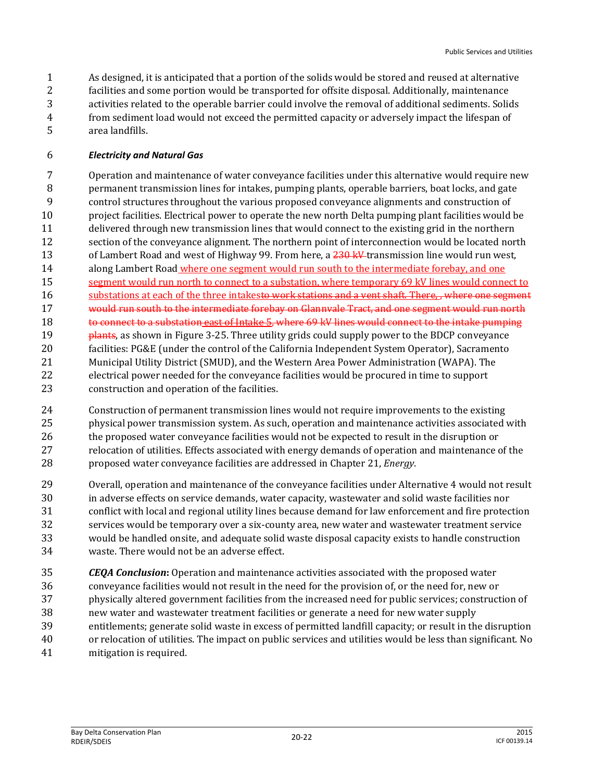As designed, it is anticipated that a portion of the solids would be stored and reused at alternative facilities and some portion would be transported for offsite disposal. Additionally, maintenance activities related to the operable barrier could involve the removal of additional sediments. Solids from sediment load would not exceed the permitted capacity or adversely impact the lifespan of area landfills.

#### *Electricity and Natural Gas*

 Operation and maintenance of water conveyance facilities under this alternative would require new permanent transmission lines for intakes, pumping plants, operable barriers, boat locks, and gate control structures throughout the various proposed conveyance alignments and construction of project facilities. Electrical power to operate the new north Delta pumping plant facilities would be delivered through new transmission lines that would connect to the existing grid in the northern section of the conveyance alignment. The northern point of interconnection would be located north 13 of Lambert Road and west of Highway 99. From here, a kV transmission line would run west, 14 along Lambert Road where one segment would run south to the intermediate forebay, and one 15 segment would run north to connect to a substation, where temporary 69 kV lines would connect to 16 substations at each of the three intakesto work stations and a vent shaft. There, , where one segment would run south to the intermediate forebay on Glannvale Tract, and one segment would run north 18 to connect to a substation east of Intake 5, where 69 kV lines would connect to the intake pumping **plants**, as shown in Figure 3-25. Three utility grids could supply power to the BDCP conveyance facilities: PG&E (under the control of the California Independent System Operator), Sacramento Municipal Utility District (SMUD), and the Western Area Power Administration (WAPA). The electrical power needed for the conveyance facilities would be procured in time to support construction and operation of the facilities.

- Construction of permanent transmission lines would not require improvements to the existing physical power transmission system. As such, operation and maintenance activities associated with 26 the proposed water conveyance facilities would not be expected to result in the disruption or relocation of utilities. Effects associated with energy demands of operation and maintenance of the proposed water conveyance facilities are addressed in Chapter 21, *Energy*.
- Overall, operation and maintenance of the conveyance facilities under Alternative 4 would not result in adverse effects on service demands, water capacity, wastewater and solid waste facilities nor conflict with local and regional utility lines because demand for law enforcement and fire protection services would be temporary over a six-county area, new water and wastewater treatment service would be handled onsite, and adequate solid waste disposal capacity exists to handle construction waste. There would not be an adverse effect.
- *CEQA Conclusion***:** Operation and maintenance activities associated with the proposed water conveyance facilities would not result in the need for the provision of, or the need for, new or physically altered government facilities from the increased need for public services; construction of new water and wastewater treatment facilities or generate a need for new water supply entitlements; generate solid waste in excess of permitted landfill capacity; or result in the disruption or relocation of utilities. The impact on public services and utilities would be less than significant. No mitigation is required.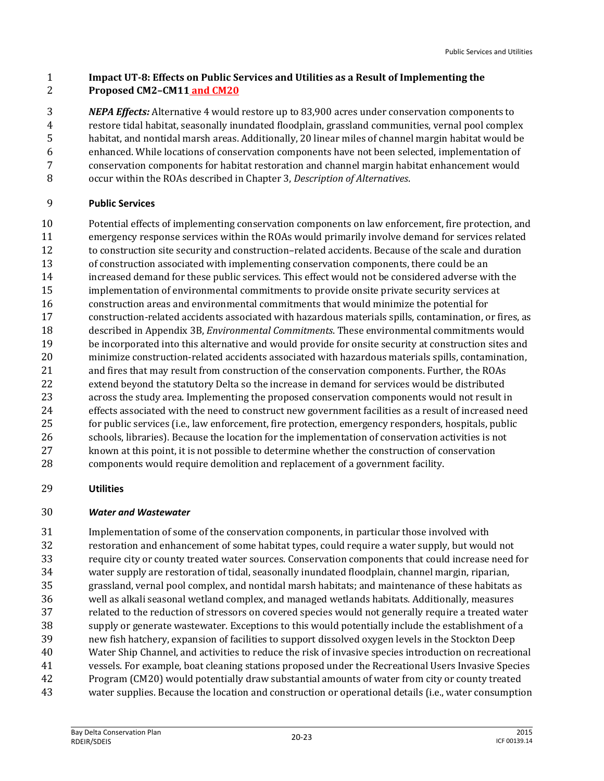#### **Impact UT-8: Effects on Public Services and Utilities as a Result of Implementing the Proposed CM2–CM11 and CM20**

 *NEPA Effects:* Alternative 4 would restore up to 83,900 acres under conservation components to restore tidal habitat, seasonally inundated floodplain, grassland communities, vernal pool complex habitat, and nontidal marsh areas. Additionally, 20 linear miles of channel margin habitat would be enhanced. While locations of conservation components have not been selected, implementation of conservation components for habitat restoration and channel margin habitat enhancement would occur within the ROAs described in Chapter 3, *Description of Alternatives*.

# **Public Services**

 Potential effects of implementing conservation components on law enforcement, fire protection, and emergency response services within the ROAs would primarily involve demand for services related to construction site security and construction–related accidents. Because of the scale and duration of construction associated with implementing conservation components, there could be an increased demand for these public services. This effect would not be considered adverse with the implementation of environmental commitments to provide onsite private security services at construction areas and environmental commitments that would minimize the potential for construction-related accidents associated with hazardous materials spills, contamination, or fires, as described in Appendix 3B, *Environmental Commitments*. These environmental commitments would be incorporated into this alternative and would provide for onsite security at construction sites and minimize construction-related accidents associated with hazardous materials spills, contamination, and fires that may result from construction of the conservation components. Further, the ROAs extend beyond the statutory Delta so the increase in demand for services would be distributed across the study area. Implementing the proposed conservation components would not result in effects associated with the need to construct new government facilities as a result of increased need for public services (i.e., law enforcement, fire protection, emergency responders, hospitals, public schools, libraries). Because the location for the implementation of conservation activities is not known at this point, it is not possible to determine whether the construction of conservation components would require demolition and replacement of a government facility.

# **Utilities**

# *Water and Wastewater*

 Implementation of some of the conservation components, in particular those involved with restoration and enhancement of some habitat types, could require a water supply, but would not require city or county treated water sources. Conservation components that could increase need for water supply are restoration of tidal, seasonally inundated floodplain, channel margin, riparian, grassland, vernal pool complex, and nontidal marsh habitats; and maintenance of these habitats as well as alkali seasonal wetland complex, and managed wetlands habitats. Additionally, measures related to the reduction of stressors on covered species would not generally require a treated water supply or generate wastewater. Exceptions to this would potentially include the establishment of a new fish hatchery, expansion of facilities to support dissolved oxygen levels in the Stockton Deep Water Ship Channel, and activities to reduce the risk of invasive species introduction on recreational vessels. For example, boat cleaning stations proposed under the Recreational Users Invasive Species Program (CM20) would potentially draw substantial amounts of water from city or county treated water supplies. Because the location and construction or operational details (i.e., water consumption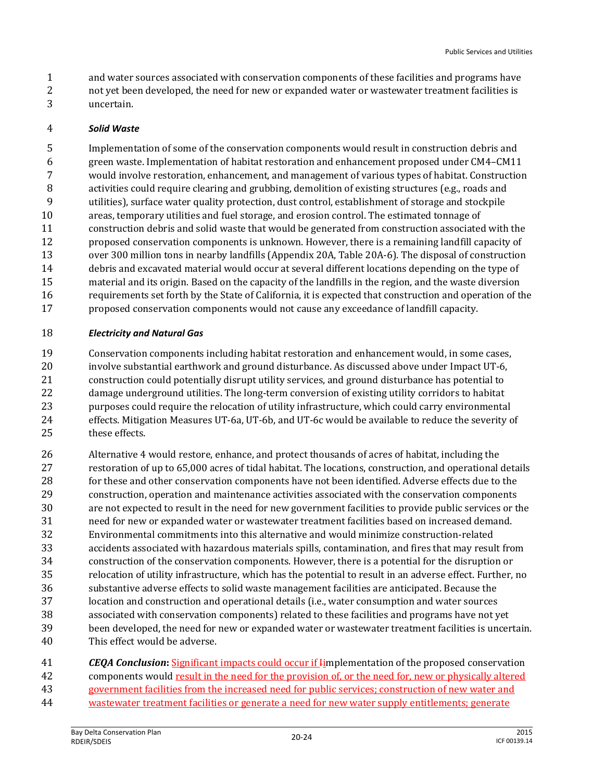- and water sources associated with conservation components of these facilities and programs have
- 2 not yet been developed, the need for new or expanded water or wastewater treatment facilities is uncertain.

#### *Solid Waste*

 Implementation of some of the conservation components would result in construction debris and green waste. Implementation of habitat restoration and enhancement proposed under CM4–CM11 would involve restoration, enhancement, and management of various types of habitat. Construction activities could require clearing and grubbing, demolition of existing structures (e.g., roads and utilities), surface water quality protection, dust control, establishment of storage and stockpile areas, temporary utilities and fuel storage, and erosion control. The estimated tonnage of construction debris and solid waste that would be generated from construction associated with the proposed conservation components is unknown. However, there is a remaining landfill capacity of over 300 million tons in nearby landfills (Appendix 20A, Table 20A-6). The disposal of construction debris and excavated material would occur at several different locations depending on the type of material and its origin. Based on the capacity of the landfills in the region, and the waste diversion requirements set forth by the State of California, it is expected that construction and operation of the proposed conservation components would not cause any exceedance of landfill capacity.

#### *Electricity and Natural Gas*

 Conservation components including habitat restoration and enhancement would, in some cases, involve substantial earthwork and ground disturbance. As discussed above under Impact UT-6, construction could potentially disrupt utility services, and ground disturbance has potential to damage underground utilities. The long-term conversion of existing utility corridors to habitat purposes could require the relocation of utility infrastructure, which could carry environmental effects. Mitigation Measures UT-6a, UT-6b, and UT-6c would be available to reduce the severity of these effects.

 Alternative 4 would restore, enhance, and protect thousands of acres of habitat, including the restoration of up to 65,000 acres of tidal habitat. The locations, construction, and operational details for these and other conservation components have not been identified. Adverse effects due to the construction, operation and maintenance activities associated with the conservation components are not expected to result in the need for new government facilities to provide public services or the need for new or expanded water or wastewater treatment facilities based on increased demand. Environmental commitments into this alternative and would minimize construction-related accidents associated with hazardous materials spills, contamination, and fires that may result from construction of the conservation components. However, there is a potential for the disruption or relocation of utility infrastructure, which has the potential to result in an adverse effect. Further, no substantive adverse effects to solid waste management facilities are anticipated. Because the location and construction and operational details (i.e., water consumption and water sources associated with conservation components) related to these facilities and programs have not yet been developed, the need for new or expanded water or wastewater treatment facilities is uncertain. This effect would be adverse.

 *CEQA Conclusion***:** Significant impacts could occur if Iimplementation of the proposed conservation components would result in the need for the provision of, or the need for, new or physically altered government facilities from the increased need for public services; construction of new water and wastewater treatment facilities or generate a need for new water supply entitlements; generate